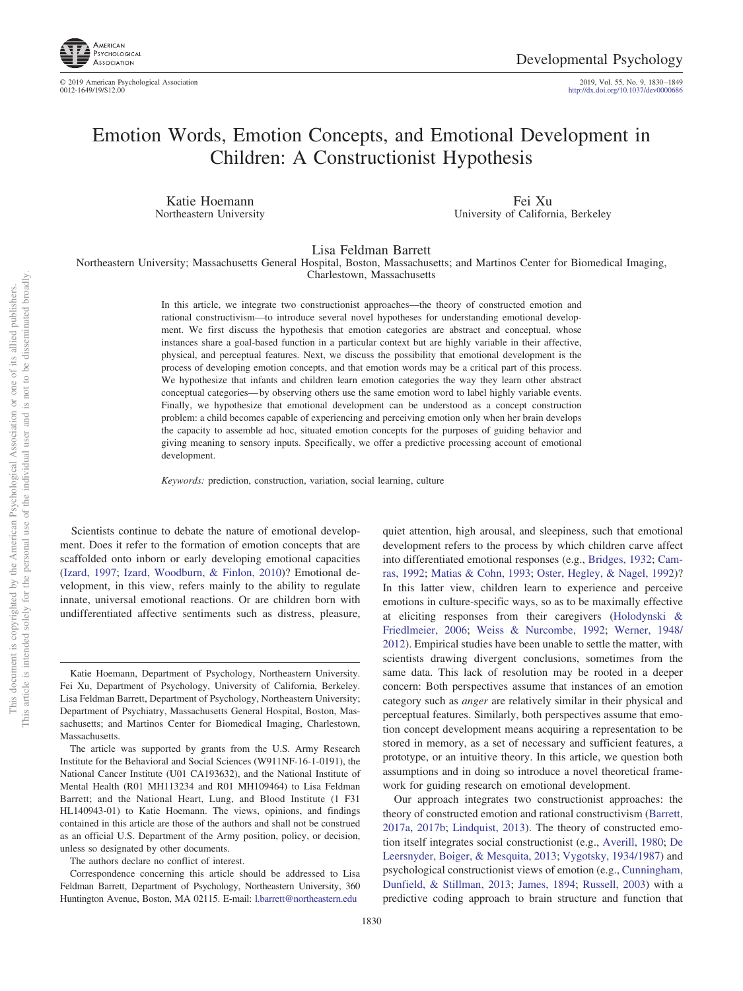

http://dx.doi.org[/10.1037/dev0000686](http://dx.doi.org/10.1037/dev0000686)

# Emotion Words, Emotion Concepts, and Emotional Development in Children: A Constructionist Hypothesis

Katie Hoemann Northeastern University

Fei Xu University of California, Berkeley

Lisa Feldman Barrett

Northeastern University; Massachusetts General Hospital, Boston, Massachusetts; and Martinos Center for Biomedical Imaging, Charlestown, Massachusetts

> In this article, we integrate two constructionist approaches—the theory of constructed emotion and rational constructivism—to introduce several novel hypotheses for understanding emotional development. We first discuss the hypothesis that emotion categories are abstract and conceptual, whose instances share a goal-based function in a particular context but are highly variable in their affective, physical, and perceptual features. Next, we discuss the possibility that emotional development is the process of developing emotion concepts, and that emotion words may be a critical part of this process. We hypothesize that infants and children learn emotion categories the way they learn other abstract conceptual categories— by observing others use the same emotion word to label highly variable events. Finally, we hypothesize that emotional development can be understood as a concept construction problem: a child becomes capable of experiencing and perceiving emotion only when her brain develops the capacity to assemble ad hoc, situated emotion concepts for the purposes of guiding behavior and giving meaning to sensory inputs. Specifically, we offer a predictive processing account of emotional development.

*Keywords:* prediction, construction, variation, social learning, culture

Scientists continue to debate the nature of emotional development. Does it refer to the formation of emotion concepts that are scaffolded onto inborn or early developing emotional capacities [\(Izard, 1997;](#page-15-0) [Izard, Woodburn, & Finlon, 2010\)](#page-16-0)? Emotional development, in this view, refers mainly to the ability to regulate innate, universal emotional reactions. Or are children born with undifferentiated affective sentiments such as distress, pleasure,

The authors declare no conflict of interest.

quiet attention, high arousal, and sleepiness, such that emotional development refers to the process by which children carve affect into differentiated emotional responses (e.g., [Bridges, 1932;](#page-13-0) [Cam](#page-13-1)[ras, 1992;](#page-13-1) [Matias & Cohn, 1993;](#page-16-1) [Oster, Hegley, & Nagel, 1992\)](#page-17-0)? In this latter view, children learn to experience and perceive emotions in culture-specific ways, so as to be maximally effective at eliciting responses from their caregivers [\(Holodynski &](#page-15-1) [Friedlmeier, 2006;](#page-15-1) [Weiss & Nurcombe, 1992;](#page-18-0) [Werner, 1948/](#page-18-1) [2012\)](#page-18-1). Empirical studies have been unable to settle the matter, with scientists drawing divergent conclusions, sometimes from the same data. This lack of resolution may be rooted in a deeper concern: Both perspectives assume that instances of an emotion category such as *anger* are relatively similar in their physical and perceptual features. Similarly, both perspectives assume that emotion concept development means acquiring a representation to be stored in memory, as a set of necessary and sufficient features, a prototype, or an intuitive theory. In this article, we question both assumptions and in doing so introduce a novel theoretical framework for guiding research on emotional development.

Our approach integrates two constructionist approaches: the theory of constructed emotion and rational constructivism [\(Barrett,](#page-12-0) [2017a,](#page-12-0) [2017b;](#page-12-1) [Lindquist, 2013\)](#page-16-2). The theory of constructed emotion itself integrates social constructionist (e.g., [Averill, 1980;](#page-12-2) [De](#page-14-0) [Leersnyder, Boiger, & Mesquita, 2013;](#page-14-0) [Vygotsky, 1934/1987\)](#page-18-2) and psychological constructionist views of emotion (e.g., [Cunningham,](#page-14-1) [Dunfield, & Stillman, 2013;](#page-14-1) [James, 1894;](#page-16-3) [Russell, 2003\)](#page-17-1) with a predictive coding approach to brain structure and function that

Katie Hoemann, Department of Psychology, Northeastern University. Fei Xu, Department of Psychology, University of California, Berkeley. Lisa Feldman Barrett, Department of Psychology, Northeastern University; Department of Psychiatry, Massachusetts General Hospital, Boston, Massachusetts; and Martinos Center for Biomedical Imaging, Charlestown, Massachusetts.

The article was supported by grants from the U.S. Army Research Institute for the Behavioral and Social Sciences (W911NF-16-1-0191), the National Cancer Institute (U01 CA193632), and the National Institute of Mental Health (R01 MH113234 and R01 MH109464) to Lisa Feldman Barrett; and the National Heart, Lung, and Blood Institute (1 F31 HL140943-01) to Katie Hoemann. The views, opinions, and findings contained in this article are those of the authors and shall not be construed as an official U.S. Department of the Army position, policy, or decision, unless so designated by other documents.

Correspondence concerning this article should be addressed to Lisa Feldman Barrett, Department of Psychology, Northeastern University, 360 Huntington Avenue, Boston, MA 02115. E-mail: [l.barrett@northeastern.edu](mailto:l.barrett@northeastern.edu)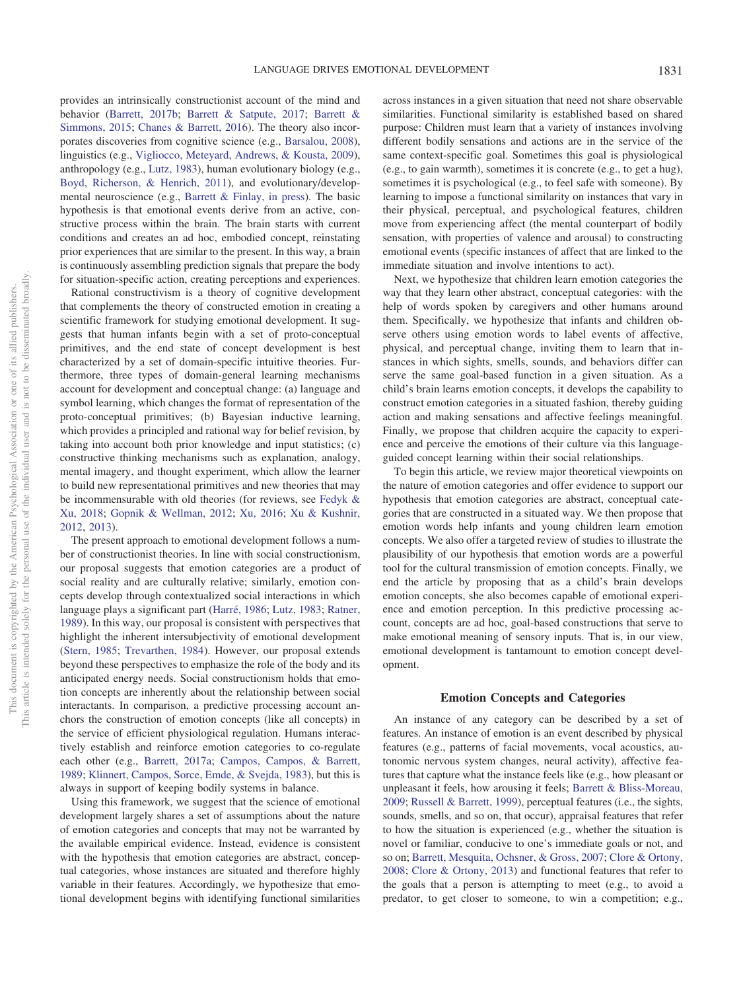provides an intrinsically constructionist account of the mind and behavior [\(Barrett, 2017b;](#page-12-1) [Barrett & Satpute, 2017;](#page-13-2) [Barrett &](#page-13-3) [Simmons, 2015;](#page-13-3) [Chanes & Barrett, 2016\)](#page-14-2). The theory also incorporates discoveries from cognitive science (e.g., [Barsalou, 2008\)](#page-13-4), linguistics (e.g., [Vigliocco, Meteyard, Andrews, & Kousta, 2009\)](#page-18-3), anthropology (e.g., [Lutz, 1983\)](#page-16-4), human evolutionary biology (e.g., [Boyd, Richerson, & Henrich, 2011\)](#page-13-5), and evolutionary/developmental neuroscience (e.g., [Barrett & Finlay, in press\)](#page-12-3). The basic hypothesis is that emotional events derive from an active, constructive process within the brain. The brain starts with current conditions and creates an ad hoc, embodied concept, reinstating prior experiences that are similar to the present. In this way, a brain is continuously assembling prediction signals that prepare the body for situation-specific action, creating perceptions and experiences.

Rational constructivism is a theory of cognitive development that complements the theory of constructed emotion in creating a scientific framework for studying emotional development. It suggests that human infants begin with a set of proto-conceptual primitives, and the end state of concept development is best characterized by a set of domain-specific intuitive theories. Furthermore, three types of domain-general learning mechanisms account for development and conceptual change: (a) language and symbol learning, which changes the format of representation of the proto-conceptual primitives; (b) Bayesian inductive learning, which provides a principled and rational way for belief revision, by taking into account both prior knowledge and input statistics; (c) constructive thinking mechanisms such as explanation, analogy, mental imagery, and thought experiment, which allow the learner to build new representational primitives and new theories that may be incommensurable with old theories (for reviews, see [Fedyk &](#page-14-3) [Xu, 2018;](#page-14-3) [Gopnik & Wellman, 2012;](#page-15-2) [Xu, 2016;](#page-19-0) [Xu & Kushnir,](#page-19-1) [2012,](#page-19-1) [2013\)](#page-19-2).

The present approach to emotional development follows a number of constructionist theories. In line with social constructionism, our proposal suggests that emotion categories are a product of social reality and are culturally relative; similarly, emotion concepts develop through contextualized social interactions in which language plays a significant part [\(Harré, 1986;](#page-15-3) [Lutz, 1983;](#page-16-4) [Ratner,](#page-17-2) [1989\)](#page-17-2). In this way, our proposal is consistent with perspectives that highlight the inherent intersubjectivity of emotional development [\(Stern, 1985;](#page-18-4) [Trevarthen, 1984\)](#page-18-5). However, our proposal extends beyond these perspectives to emphasize the role of the body and its anticipated energy needs. Social constructionism holds that emotion concepts are inherently about the relationship between social interactants. In comparison, a predictive processing account anchors the construction of emotion concepts (like all concepts) in the service of efficient physiological regulation. Humans interactively establish and reinforce emotion categories to co-regulate each other (e.g., [Barrett, 2017a;](#page-12-0) [Campos, Campos, & Barrett,](#page-13-6) [1989;](#page-13-6) [Klinnert, Campos, Sorce, Emde, & Svejda, 1983\)](#page-16-5), but this is always in support of keeping bodily systems in balance.

Using this framework, we suggest that the science of emotional development largely shares a set of assumptions about the nature of emotion categories and concepts that may not be warranted by the available empirical evidence. Instead, evidence is consistent with the hypothesis that emotion categories are abstract, conceptual categories, whose instances are situated and therefore highly variable in their features. Accordingly, we hypothesize that emotional development begins with identifying functional similarities

across instances in a given situation that need not share observable similarities. Functional similarity is established based on shared purpose: Children must learn that a variety of instances involving different bodily sensations and actions are in the service of the same context-specific goal. Sometimes this goal is physiological (e.g., to gain warmth), sometimes it is concrete (e.g., to get a hug), sometimes it is psychological (e.g., to feel safe with someone). By learning to impose a functional similarity on instances that vary in their physical, perceptual, and psychological features, children move from experiencing affect (the mental counterpart of bodily sensation, with properties of valence and arousal) to constructing emotional events (specific instances of affect that are linked to the immediate situation and involve intentions to act).

Next, we hypothesize that children learn emotion categories the way that they learn other abstract, conceptual categories: with the help of words spoken by caregivers and other humans around them. Specifically, we hypothesize that infants and children observe others using emotion words to label events of affective, physical, and perceptual change, inviting them to learn that instances in which sights, smells, sounds, and behaviors differ can serve the same goal-based function in a given situation. As a child's brain learns emotion concepts, it develops the capability to construct emotion categories in a situated fashion, thereby guiding action and making sensations and affective feelings meaningful. Finally, we propose that children acquire the capacity to experience and perceive the emotions of their culture via this languageguided concept learning within their social relationships.

To begin this article, we review major theoretical viewpoints on the nature of emotion categories and offer evidence to support our hypothesis that emotion categories are abstract, conceptual categories that are constructed in a situated way. We then propose that emotion words help infants and young children learn emotion concepts. We also offer a targeted review of studies to illustrate the plausibility of our hypothesis that emotion words are a powerful tool for the cultural transmission of emotion concepts. Finally, we end the article by proposing that as a child's brain develops emotion concepts, she also becomes capable of emotional experience and emotion perception. In this predictive processing account, concepts are ad hoc, goal-based constructions that serve to make emotional meaning of sensory inputs. That is, in our view, emotional development is tantamount to emotion concept development.

## **Emotion Concepts and Categories**

An instance of any category can be described by a set of features. An instance of emotion is an event described by physical features (e.g., patterns of facial movements, vocal acoustics, autonomic nervous system changes, neural activity), affective features that capture what the instance feels like (e.g., how pleasant or unpleasant it feels, how arousing it feels; [Barrett & Bliss-Moreau,](#page-12-4) [2009;](#page-12-4) [Russell & Barrett, 1999\)](#page-17-3), perceptual features (i.e., the sights, sounds, smells, and so on, that occur), appraisal features that refer to how the situation is experienced (e.g., whether the situation is novel or familiar, conducive to one's immediate goals or not, and so on; [Barrett, Mesquita, Ochsner, & Gross, 2007;](#page-12-5) [Clore & Ortony,](#page-14-4) [2008;](#page-14-4) [Clore & Ortony, 2013\)](#page-14-5) and functional features that refer to the goals that a person is attempting to meet (e.g., to avoid a predator, to get closer to someone, to win a competition; e.g.,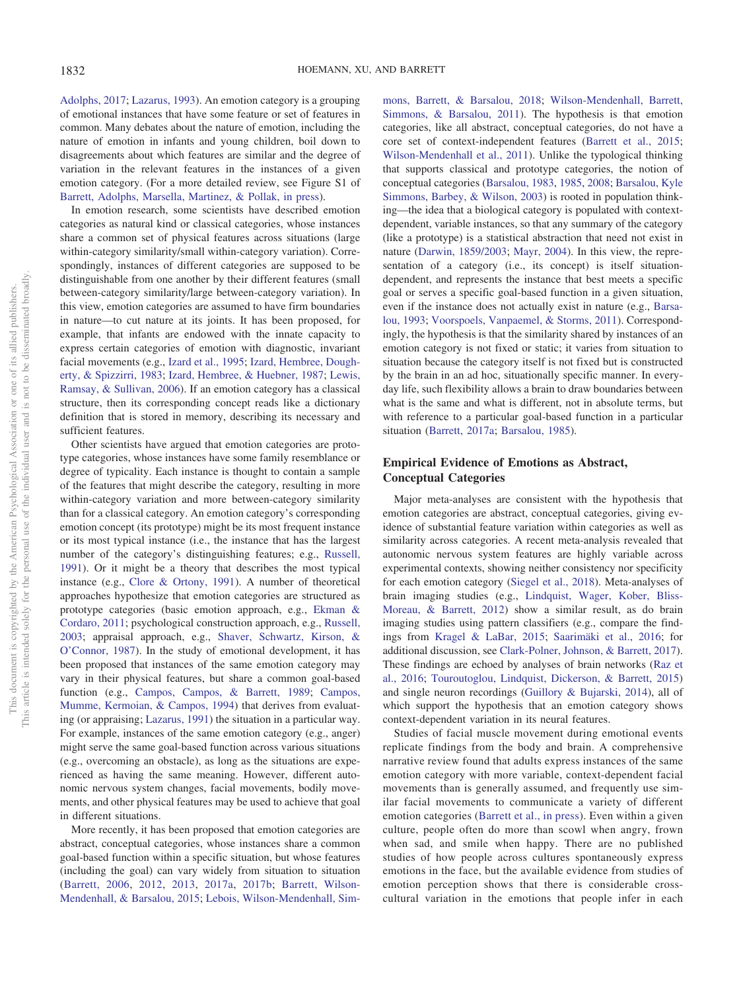[Adolphs, 2017;](#page-12-6) [Lazarus, 1993\)](#page-16-6). An emotion category is a grouping of emotional instances that have some feature or set of features in common. Many debates about the nature of emotion, including the nature of emotion in infants and young children, boil down to disagreements about which features are similar and the degree of variation in the relevant features in the instances of a given emotion category. (For a more detailed review, see Figure S1 of [Barrett, Adolphs, Marsella, Martinez, & Pollak, in press\)](#page-12-7).

In emotion research, some scientists have described emotion categories as natural kind or classical categories, whose instances share a common set of physical features across situations (large within-category similarity/small within-category variation). Correspondingly, instances of different categories are supposed to be distinguishable from one another by their different features (small between-category similarity/large between-category variation). In this view, emotion categories are assumed to have firm boundaries in nature—to cut nature at its joints. It has been proposed, for example, that infants are endowed with the innate capacity to express certain categories of emotion with diagnostic, invariant facial movements (e.g., [Izard et al., 1995;](#page-15-4) [Izard, Hembree, Dough](#page-15-5)[erty, & Spizzirri, 1983;](#page-15-5) [Izard, Hembree, & Huebner, 1987;](#page-15-6) [Lewis,](#page-16-7) [Ramsay, & Sullivan, 2006\)](#page-16-7). If an emotion category has a classical structure, then its corresponding concept reads like a dictionary definition that is stored in memory, describing its necessary and sufficient features.

Other scientists have argued that emotion categories are prototype categories, whose instances have some family resemblance or degree of typicality. Each instance is thought to contain a sample of the features that might describe the category, resulting in more within-category variation and more between-category similarity than for a classical category. An emotion category's corresponding emotion concept (its prototype) might be its most frequent instance or its most typical instance (i.e., the instance that has the largest number of the category's distinguishing features; e.g., [Russell,](#page-17-4) [1991\)](#page-17-4). Or it might be a theory that describes the most typical instance (e.g., [Clore & Ortony, 1991\)](#page-14-6). A number of theoretical approaches hypothesize that emotion categories are structured as prototype categories (basic emotion approach, e.g., [Ekman &](#page-14-7) [Cordaro, 2011;](#page-14-7) psychological construction approach, e.g., [Russell,](#page-17-1) [2003;](#page-17-1) appraisal approach, e.g., [Shaver, Schwartz, Kirson, &](#page-17-5) [O'Connor, 1987\)](#page-17-5). In the study of emotional development, it has been proposed that instances of the same emotion category may vary in their physical features, but share a common goal-based function (e.g., [Campos, Campos, & Barrett, 1989;](#page-13-6) [Campos,](#page-13-7) [Mumme, Kermoian, & Campos, 1994\)](#page-13-7) that derives from evaluating (or appraising; [Lazarus, 1991\)](#page-16-8) the situation in a particular way. For example, instances of the same emotion category (e.g., anger) might serve the same goal-based function across various situations (e.g., overcoming an obstacle), as long as the situations are experienced as having the same meaning. However, different autonomic nervous system changes, facial movements, bodily movements, and other physical features may be used to achieve that goal in different situations.

More recently, it has been proposed that emotion categories are abstract, conceptual categories, whose instances share a common goal-based function within a specific situation, but whose features (including the goal) can vary widely from situation to situation [\(Barrett, 2006,](#page-12-8) [2012,](#page-12-9) [2013,](#page-12-10) [2017a,](#page-12-0) [2017b;](#page-12-1) Barrett, [Wilson-](#page-13-8)[Mendenhall, & Barsalou, 2015;](#page-13-8) [Lebois, Wilson-Mendenhall, Sim-](#page-16-9) [mons, Barrett, & Barsalou, 2018;](#page-16-9) [Wilson-Mendenhall, Barrett,](#page-18-6) [Simmons, & Barsalou, 2011\)](#page-18-6). The hypothesis is that emotion categories, like all abstract, conceptual categories, do not have a core set of context-independent features [\(Barrett et al., 2015;](#page-13-3) [Wilson-Mendenhall et al., 2011\)](#page-18-6). Unlike the typological thinking that supports classical and prototype categories, the notion of conceptual categories [\(Barsalou, 1983,](#page-13-9) [1985,](#page-13-10) [2008;](#page-13-4) [Barsalou, Kyle](#page-13-11) [Simmons, Barbey, & Wilson, 2003\)](#page-13-11) is rooted in population thinking—the idea that a biological category is populated with contextdependent, variable instances, so that any summary of the category (like a prototype) is a statistical abstraction that need not exist in nature [\(Darwin, 1859/2003;](#page-14-8) [Mayr, 2004\)](#page-16-10). In this view, the representation of a category (i.e., its concept) is itself situationdependent, and represents the instance that best meets a specific goal or serves a specific goal-based function in a given situation, even if the instance does not actually exist in nature (e.g., [Barsa](#page-13-12)[lou, 1993;](#page-13-12) [Voorspoels, Vanpaemel, & Storms, 2011\)](#page-18-7). Correspondingly, the hypothesis is that the similarity shared by instances of an emotion category is not fixed or static; it varies from situation to situation because the category itself is not fixed but is constructed by the brain in an ad hoc, situationally specific manner. In everyday life, such flexibility allows a brain to draw boundaries between what is the same and what is different, not in absolute terms, but with reference to a particular goal-based function in a particular situation [\(Barrett, 2017a;](#page-12-0) [Barsalou, 1985\)](#page-13-10).

# **Empirical Evidence of Emotions as Abstract, Conceptual Categories**

Major meta-analyses are consistent with the hypothesis that emotion categories are abstract, conceptual categories, giving evidence of substantial feature variation within categories as well as similarity across categories. A recent meta-analysis revealed that autonomic nervous system features are highly variable across experimental contexts, showing neither consistency nor specificity for each emotion category [\(Siegel et al., 2018\)](#page-17-6). Meta-analyses of brain imaging studies (e.g., [Lindquist, Wager, Kober, Bliss-](#page-16-11)[Moreau, & Barrett, 2012\)](#page-16-11) show a similar result, as do brain imaging studies using pattern classifiers (e.g., compare the findings from [Kragel & LaBar, 2015;](#page-16-12) [Saarimäki et al., 2016;](#page-17-7) for additional discussion, see [Clark-Polner, Johnson, & Barrett, 2017\)](#page-14-9). These findings are echoed by analyses of brain networks [\(Raz et](#page-17-8) [al., 2016;](#page-17-8) [Touroutoglou, Lindquist, Dickerson, & Barrett, 2015\)](#page-18-8) and single neuron recordings [\(Guillory & Bujarski, 2014\)](#page-15-7), all of which support the hypothesis that an emotion category shows context-dependent variation in its neural features.

Studies of facial muscle movement during emotional events replicate findings from the body and brain. A comprehensive narrative review found that adults express instances of the same emotion category with more variable, context-dependent facial movements than is generally assumed, and frequently use similar facial movements to communicate a variety of different emotion categories [\(Barrett et al., in press\)](#page-12-7). Even within a given culture, people often do more than scowl when angry, frown when sad, and smile when happy. There are no published studies of how people across cultures spontaneously express emotions in the face, but the available evidence from studies of emotion perception shows that there is considerable crosscultural variation in the emotions that people infer in each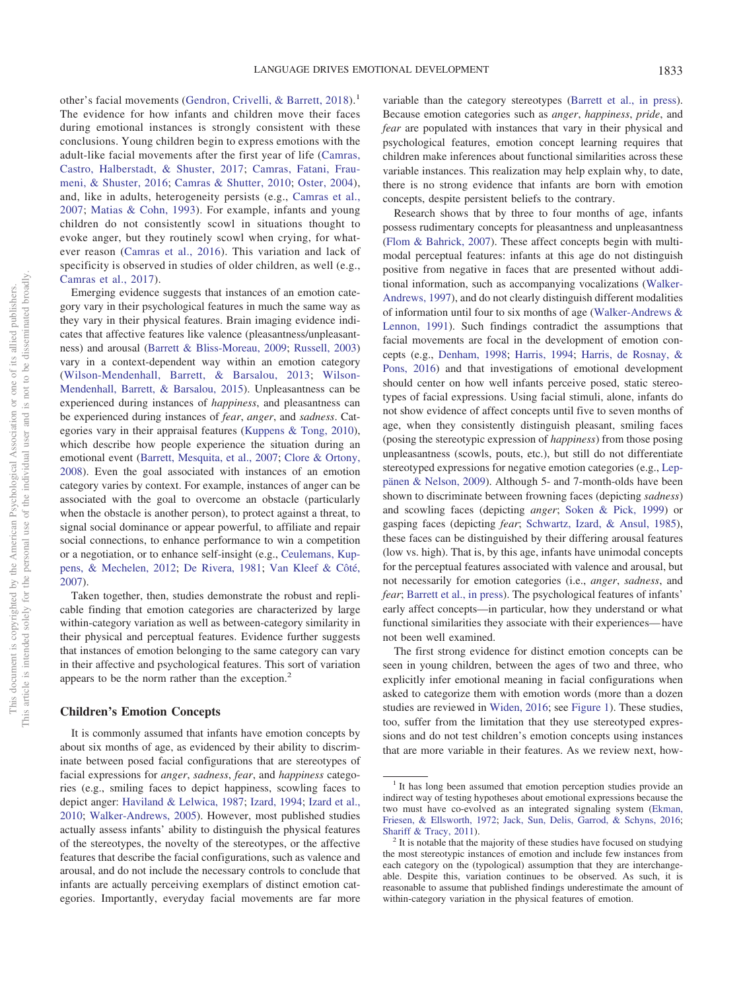other's facial movements [\(Gendron, Crivelli, & Barrett, 2018\)](#page-15-8).<sup>1</sup> The evidence for how infants and children move their faces during emotional instances is strongly consistent with these conclusions. Young children begin to express emotions with the adult-like facial movements after the first year of life [\(Camras,](#page-13-13) [Castro, Halberstadt, & Shuster, 2017;](#page-13-13) [Camras, Fatani, Frau](#page-13-14)[meni, & Shuster, 2016;](#page-13-14) [Camras & Shutter, 2010;](#page-13-15) [Oster, 2004\)](#page-17-9), and, like in adults, heterogeneity persists (e.g., [Camras et al.,](#page-13-16) [2007;](#page-13-16) [Matias & Cohn, 1993\)](#page-16-1). For example, infants and young children do not consistently scowl in situations thought to evoke anger, but they routinely scowl when crying, for whatever reason [\(Camras et al., 2016\)](#page-13-14). This variation and lack of specificity is observed in studies of older children, as well (e.g., [Camras et al., 2017\)](#page-13-13).

Emerging evidence suggests that instances of an emotion category vary in their psychological features in much the same way as they vary in their physical features. Brain imaging evidence indicates that affective features like valence (pleasantness/unpleasantness) and arousal [\(Barrett & Bliss-Moreau, 2009;](#page-12-4) [Russell, 2003\)](#page-17-1) vary in a context-dependent way within an emotion category [\(Wilson-Mendenhall, Barrett, & Barsalou, 2013;](#page-18-9) [Wilson-](#page-18-10)[Mendenhall, Barrett, & Barsalou, 2015\)](#page-18-10). Unpleasantness can be experienced during instances of *happiness*, and pleasantness can be experienced during instances of *fear*, *anger*, and *sadness*. Categories vary in their appraisal features [\(Kuppens & Tong, 2010\)](#page-16-13), which describe how people experience the situation during an emotional event [\(Barrett, Mesquita, et al., 2007;](#page-12-5) [Clore & Ortony,](#page-14-4) [2008\)](#page-14-4). Even the goal associated with instances of an emotion category varies by context. For example, instances of anger can be associated with the goal to overcome an obstacle (particularly when the obstacle is another person), to protect against a threat, to signal social dominance or appear powerful, to affiliate and repair social connections, to enhance performance to win a competition or a negotiation, or to enhance self-insight (e.g., [Ceulemans, Kup](#page-13-17)[pens, & Mechelen, 2012;](#page-13-17) [De Rivera, 1981;](#page-14-10) [Van Kleef & Côté,](#page-18-11) [2007\)](#page-18-11).

Taken together, then, studies demonstrate the robust and replicable finding that emotion categories are characterized by large within-category variation as well as between-category similarity in their physical and perceptual features. Evidence further suggests that instances of emotion belonging to the same category can vary in their affective and psychological features. This sort of variation appears to be the norm rather than the exception.<sup>2</sup>

#### **Children's Emotion Concepts**

It is commonly assumed that infants have emotion concepts by about six months of age, as evidenced by their ability to discriminate between posed facial configurations that are stereotypes of facial expressions for *anger*, *sadness*, *fear*, and *happiness* categories (e.g., smiling faces to depict happiness, scowling faces to depict anger: [Haviland & Lelwica, 1987;](#page-15-9) [Izard, 1994;](#page-15-10) [Izard et al.,](#page-16-0) [2010;](#page-16-0) [Walker-Andrews, 2005\)](#page-18-12). However, most published studies actually assess infants' ability to distinguish the physical features of the stereotypes, the novelty of the stereotypes, or the affective features that describe the facial configurations, such as valence and arousal, and do not include the necessary controls to conclude that infants are actually perceiving exemplars of distinct emotion categories. Importantly, everyday facial movements are far more

variable than the category stereotypes [\(Barrett et al., in press\)](#page-12-7). Because emotion categories such as *anger*, *happiness*, *pride*, and *fear* are populated with instances that vary in their physical and psychological features, emotion concept learning requires that children make inferences about functional similarities across these variable instances. This realization may help explain why, to date, there is no strong evidence that infants are born with emotion concepts, despite persistent beliefs to the contrary.

Research shows that by three to four months of age, infants possess rudimentary concepts for pleasantness and unpleasantness [\(Flom & Bahrick, 2007\)](#page-14-11). These affect concepts begin with multimodal perceptual features: infants at this age do not distinguish positive from negative in faces that are presented without additional information, such as accompanying vocalizations [\(Walker-](#page-18-13)[Andrews, 1997\)](#page-18-13), and do not clearly distinguish different modalities of information until four to six months of age [\(Walker-Andrews &](#page-18-14) [Lennon, 1991\)](#page-18-14). Such findings contradict the assumptions that facial movements are focal in the development of emotion concepts (e.g., [Denham, 1998;](#page-14-12) [Harris, 1994;](#page-15-11) [Harris, de Rosnay, &](#page-15-12) [Pons, 2016\)](#page-15-12) and that investigations of emotional development should center on how well infants perceive posed, static stereotypes of facial expressions. Using facial stimuli, alone, infants do not show evidence of affect concepts until five to seven months of age, when they consistently distinguish pleasant, smiling faces (posing the stereotypic expression of *happiness*) from those posing unpleasantness (scowls, pouts, etc.), but still do not differentiate stereotyped expressions for negative emotion categories (e.g., [Lep](#page-16-14)[pänen & Nelson, 2009\)](#page-16-14). Although 5- and 7-month-olds have been shown to discriminate between frowning faces (depicting *sadness*) and scowling faces (depicting *anger*; [Soken & Pick, 1999\)](#page-18-15) or gasping faces (depicting *fear*; [Schwartz, Izard, & Ansul, 1985\)](#page-17-10), these faces can be distinguished by their differing arousal features (low vs. high). That is, by this age, infants have unimodal concepts for the perceptual features associated with valence and arousal, but not necessarily for emotion categories (i.e., *anger*, *sadness*, and *fear*; [Barrett et al., in press\)](#page-12-7). The psychological features of infants' early affect concepts—in particular, how they understand or what functional similarities they associate with their experiences— have not been well examined.

The first strong evidence for distinct emotion concepts can be seen in young children, between the ages of two and three, who explicitly infer emotional meaning in facial configurations when asked to categorize them with emotion words (more than a dozen studies are reviewed in [Widen, 2016;](#page-18-16) see [Figure 1\)](#page-4-0). These studies, too, suffer from the limitation that they use stereotyped expressions and do not test children's emotion concepts using instances that are more variable in their features. As we review next, how-

 $1$  It has long been assumed that emotion perception studies provide an indirect way of testing hypotheses about emotional expressions because the two must have co-evolved as an integrated signaling system [\(Ekman,](#page-14-13) [Friesen, & Ellsworth, 1972;](#page-14-13) [Jack, Sun, Delis, Garrod, & Schyns, 2016;](#page-16-15) [Shariff & Tracy, 2011\)](#page-17-11). <sup>2</sup> It is notable that the majority of these studies have focused on studying

the most stereotypic instances of emotion and include few instances from each category on the (typological) assumption that they are interchangeable. Despite this, variation continues to be observed. As such, it is reasonable to assume that published findings underestimate the amount of within-category variation in the physical features of emotion.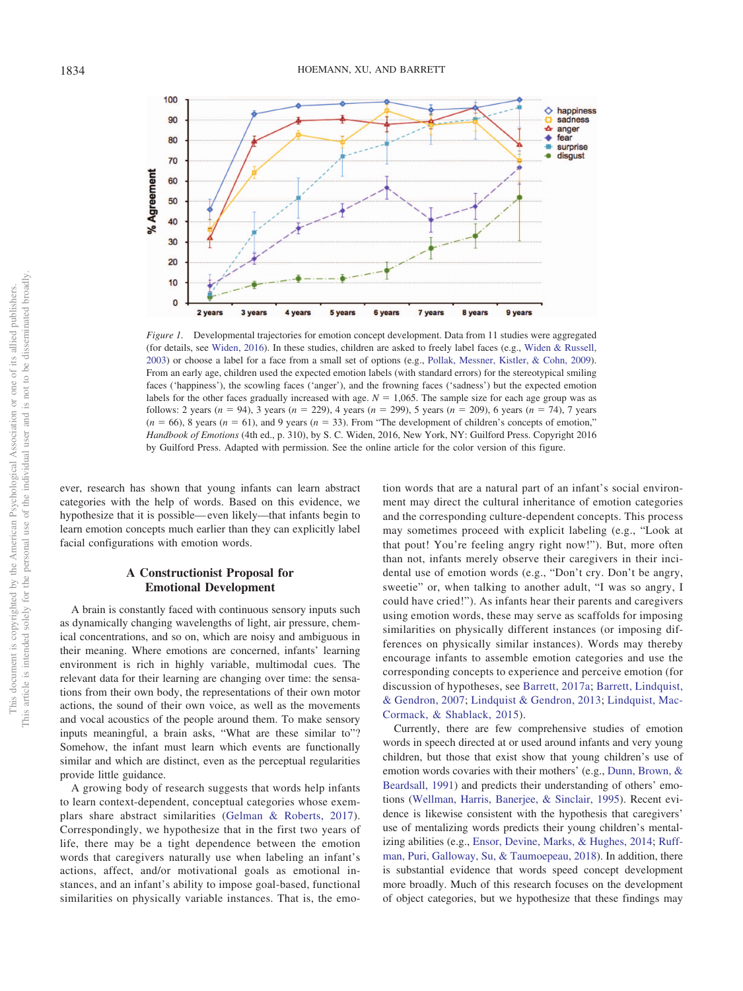

<span id="page-4-0"></span>*Figure 1.* Developmental trajectories for emotion concept development. Data from 11 studies were aggregated (for details, see [Widen, 2016\)](#page-18-16). In these studies, children are asked to freely label faces (e.g., [Widen & Russell,](#page-18-18) [2003\)](#page-18-18) or choose a label for a face from a small set of options (e.g., [Pollak, Messner, Kistler, & Cohn, 2009\)](#page-17-13). From an early age, children used the expected emotion labels (with standard errors) for the stereotypical smiling faces ('happiness'), the scowling faces ('anger'), and the frowning faces ('sadness') but the expected emotion labels for the other faces gradually increased with age.  $N = 1,065$ . The sample size for each age group was as follows: 2 years  $(n = 94)$ , 3 years  $(n = 229)$ , 4 years  $(n = 299)$ , 5 years  $(n = 209)$ , 6 years  $(n = 74)$ , 7 years  $(n = 66)$ , 8 years  $(n = 61)$ , and 9 years  $(n = 33)$ . From "The development of children's concepts of emotion," *Handbook of Emotions* (4th ed., p. 310), by S. C. Widen, 2016, New York, NY: Guilford Press. Copyright 2016 by Guilford Press. Adapted with permission. See the online article for the color version of this figure.

ever, research has shown that young infants can learn abstract categories with the help of words. Based on this evidence, we hypothesize that it is possible— even likely—that infants begin to learn emotion concepts much earlier than they can explicitly label facial configurations with emotion words.

# **A Constructionist Proposal for Emotional Development**

A brain is constantly faced with continuous sensory inputs such as dynamically changing wavelengths of light, air pressure, chemical concentrations, and so on, which are noisy and ambiguous in their meaning. Where emotions are concerned, infants' learning environment is rich in highly variable, multimodal cues. The relevant data for their learning are changing over time: the sensations from their own body, the representations of their own motor actions, the sound of their own voice, as well as the movements and vocal acoustics of the people around them. To make sensory inputs meaningful, a brain asks, "What are these similar to"? Somehow, the infant must learn which events are functionally similar and which are distinct, even as the perceptual regularities provide little guidance.

A growing body of research suggests that words help infants to learn context-dependent, conceptual categories whose exemplars share abstract similarities [\(Gelman & Roberts, 2017\)](#page-15-13). Correspondingly, we hypothesize that in the first two years of life, there may be a tight dependence between the emotion words that caregivers naturally use when labeling an infant's actions, affect, and/or motivational goals as emotional instances, and an infant's ability to impose goal-based, functional similarities on physically variable instances. That is, the emo-

tion words that are a natural part of an infant's social environment may direct the cultural inheritance of emotion categories and the corresponding culture-dependent concepts. This process may sometimes proceed with explicit labeling (e.g., "Look at that pout! You're feeling angry right now!"). But, more often than not, infants merely observe their caregivers in their incidental use of emotion words (e.g., "Don't cry. Don't be angry, sweetie" or, when talking to another adult, "I was so angry, I could have cried!"). As infants hear their parents and caregivers using emotion words, these may serve as scaffolds for imposing similarities on physically different instances (or imposing differences on physically similar instances). Words may thereby encourage infants to assemble emotion categories and use the corresponding concepts to experience and perceive emotion (for discussion of hypotheses, see [Barrett, 2017a;](#page-12-0) [Barrett, Lindquist,](#page-12-11) [& Gendron, 2007;](#page-12-11) [Lindquist & Gendron, 2013;](#page-16-16) [Lindquist, Mac-](#page-16-17)[Cormack, & Shablack, 2015\)](#page-16-17).

Currently, there are few comprehensive studies of emotion words in speech directed at or used around infants and very young children, but those that exist show that young children's use of emotion words covaries with their mothers' (e.g., [Dunn, Brown, &](#page-14-14) [Beardsall, 1991\)](#page-14-14) and predicts their understanding of others' emotions [\(Wellman, Harris, Banerjee, & Sinclair, 1995\)](#page-18-17). Recent evidence is likewise consistent with the hypothesis that caregivers' use of mentalizing words predicts their young children's mentalizing abilities (e.g., [Ensor, Devine, Marks, & Hughes, 2014;](#page-14-15) [Ruff](#page-17-12)[man, Puri, Galloway, Su, & Taumoepeau, 2018\)](#page-17-12). In addition, there is substantial evidence that words speed concept development more broadly. Much of this research focuses on the development of object categories, but we hypothesize that these findings may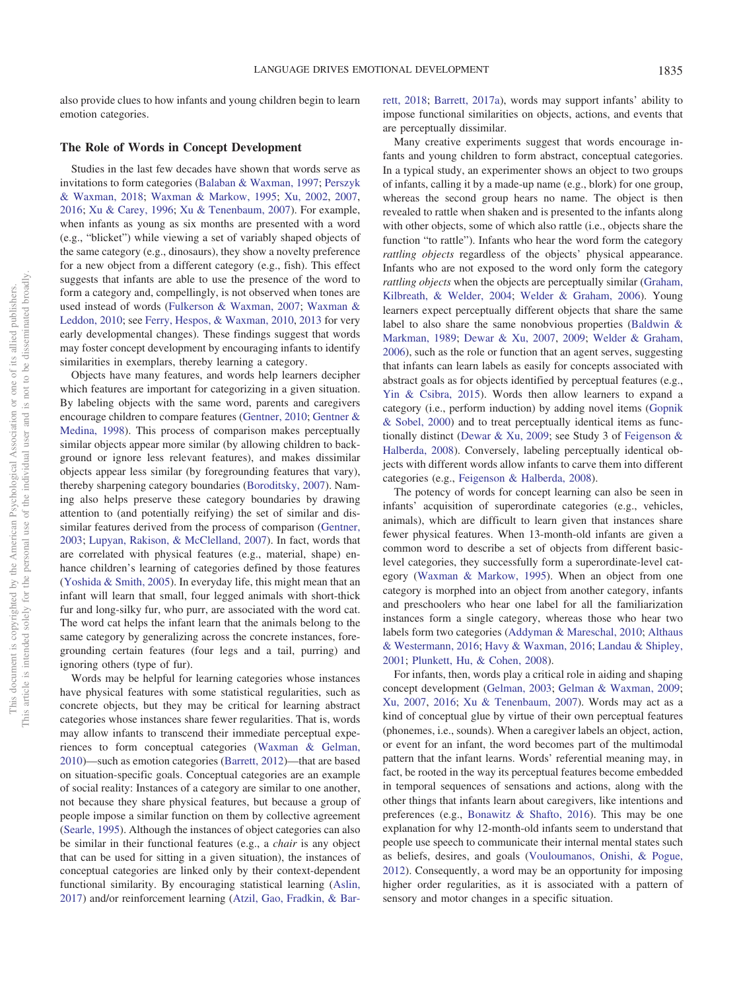also provide clues to how infants and young children begin to learn emotion categories.

#### **The Role of Words in Concept Development**

Studies in the last few decades have shown that words serve as invitations to form categories [\(Balaban & Waxman, 1997;](#page-12-12) [Perszyk](#page-17-14) [& Waxman, 2018;](#page-17-14) [Waxman & Markow, 1995;](#page-18-19) [Xu, 2002,](#page-19-3) [2007,](#page-19-4) [2016;](#page-19-0) [Xu & Carey, 1996;](#page-19-5) [Xu & Tenenbaum, 2007\)](#page-19-6). For example, when infants as young as six months are presented with a word (e.g., "blicket") while viewing a set of variably shaped objects of the same category (e.g., dinosaurs), they show a novelty preference for a new object from a different category (e.g., fish). This effect suggests that infants are able to use the presence of the word to form a category and, compellingly, is not observed when tones are used instead of words [\(Fulkerson & Waxman, 2007;](#page-15-14) [Waxman &](#page-18-20) [Leddon, 2010;](#page-18-20) see [Ferry, Hespos, & Waxman, 2010,](#page-14-16) [2013](#page-14-17) for very early developmental changes). These findings suggest that words may foster concept development by encouraging infants to identify similarities in exemplars, thereby learning a category.

Objects have many features, and words help learners decipher which features are important for categorizing in a given situation. By labeling objects with the same word, parents and caregivers encourage children to compare features [\(Gentner, 2010;](#page-15-15) [Gentner &](#page-15-16) [Medina, 1998\)](#page-15-16). This process of comparison makes perceptually similar objects appear more similar (by allowing children to background or ignore less relevant features), and makes dissimilar objects appear less similar (by foregrounding features that vary), thereby sharpening category boundaries [\(Boroditsky, 2007\)](#page-13-18). Naming also helps preserve these category boundaries by drawing attention to (and potentially reifying) the set of similar and dissimilar features derived from the process of comparison [\(Gentner,](#page-15-17) [2003;](#page-15-17) [Lupyan, Rakison, & McClelland, 2007\)](#page-16-18). In fact, words that are correlated with physical features (e.g., material, shape) enhance children's learning of categories defined by those features [\(Yoshida & Smith, 2005\)](#page-15-18). In everyday life, this might mean that an infant will learn that small, four legged animals with short-thick fur and long-silky fur, who purr, are associated with the word cat. The word cat helps the infant learn that the animals belong to the same category by generalizing across the concrete instances, foregrounding certain features (four legs and a tail, purring) and ignoring others (type of fur).

Words may be helpful for learning categories whose instances have physical features with some statistical regularities, such as concrete objects, but they may be critical for learning abstract categories whose instances share fewer regularities. That is, words may allow infants to transcend their immediate perceptual experiences to form conceptual categories [\(Waxman & Gelman,](#page-18-21) [2010\)](#page-18-21)—such as emotion categories [\(Barrett, 2012\)](#page-12-9)—that are based on situation-specific goals. Conceptual categories are an example of social reality: Instances of a category are similar to one another, not because they share physical features, but because a group of people impose a similar function on them by collective agreement [\(Searle, 1995\)](#page-17-15). Although the instances of object categories can also be similar in their functional features (e.g., a *chair* is any object that can be used for sitting in a given situation), the instances of conceptual categories are linked only by their context-dependent functional similarity. By encouraging statistical learning [\(Aslin,](#page-12-13) [2017\)](#page-12-13) and/or reinforcement learning [\(Atzil, Gao, Fradkin, & Bar-](#page-12-14) [rett, 2018;](#page-12-14) [Barrett, 2017a\)](#page-12-0), words may support infants' ability to impose functional similarities on objects, actions, and events that are perceptually dissimilar.

Many creative experiments suggest that words encourage infants and young children to form abstract, conceptual categories. In a typical study, an experimenter shows an object to two groups of infants, calling it by a made-up name (e.g., blork) for one group, whereas the second group hears no name. The object is then revealed to rattle when shaken and is presented to the infants along with other objects, some of which also rattle (i.e., objects share the function "to rattle"). Infants who hear the word form the category *rattling objects* regardless of the objects' physical appearance. Infants who are not exposed to the word only form the category *rattling objects* when the objects are perceptually similar [\(Graham,](#page-15-19) [Kilbreath, & Welder, 2004;](#page-15-19) [Welder & Graham, 2006\)](#page-18-22). Young learners expect perceptually different objects that share the same label to also share the same nonobvious properties [\(Baldwin &](#page-12-15) [Markman, 1989;](#page-12-15) [Dewar & Xu, 2007,](#page-14-18) [2009;](#page-14-19) [Welder & Graham,](#page-18-22) [2006\)](#page-18-22), such as the role or function that an agent serves, suggesting that infants can learn labels as easily for concepts associated with abstract goals as for objects identified by perceptual features (e.g., [Yin & Csibra, 2015\)](#page-19-7). Words then allow learners to expand a category (i.e., perform induction) by adding novel items [\(Gopnik](#page-15-20) [& Sobel, 2000\)](#page-15-20) and to treat perceptually identical items as functionally distinct [\(Dewar & Xu, 2009;](#page-14-19) see Study 3 of [Feigenson &](#page-14-20) [Halberda, 2008\)](#page-14-20). Conversely, labeling perceptually identical objects with different words allow infants to carve them into different categories (e.g., [Feigenson & Halberda, 2008\)](#page-14-20).

The potency of words for concept learning can also be seen in infants' acquisition of superordinate categories (e.g., vehicles, animals), which are difficult to learn given that instances share fewer physical features. When 13-month-old infants are given a common word to describe a set of objects from different basiclevel categories, they successfully form a superordinate-level category [\(Waxman & Markow, 1995\)](#page-18-19). When an object from one category is morphed into an object from another category, infants and preschoolers who hear one label for all the familiarization instances form a single category, whereas those who hear two labels form two categories [\(Addyman & Mareschal, 2010;](#page-12-16) [Althaus](#page-12-17) [& Westermann, 2016;](#page-12-17) [Havy & Waxman, 2016;](#page-15-21) [Landau & Shipley,](#page-16-19) [2001;](#page-16-19) [Plunkett, Hu, & Cohen, 2008\)](#page-17-16).

For infants, then, words play a critical role in aiding and shaping concept development [\(Gelman, 2003;](#page-15-22) [Gelman & Waxman, 2009;](#page-15-23) [Xu, 2007,](#page-19-4) [2016;](#page-19-0) [Xu & Tenenbaum, 2007\)](#page-19-6). Words may act as a kind of conceptual glue by virtue of their own perceptual features (phonemes, i.e., sounds). When a caregiver labels an object, action, or event for an infant, the word becomes part of the multimodal pattern that the infant learns. Words' referential meaning may, in fact, be rooted in the way its perceptual features become embedded in temporal sequences of sensations and actions, along with the other things that infants learn about caregivers, like intentions and preferences (e.g., [Bonawitz & Shafto, 2016\)](#page-13-19). This may be one explanation for why 12-month-old infants seem to understand that people use speech to communicate their internal mental states such as beliefs, desires, and goals [\(Vouloumanos, Onishi, & Pogue,](#page-18-23) [2012\)](#page-18-23). Consequently, a word may be an opportunity for imposing higher order regularities, as it is associated with a pattern of sensory and motor changes in a specific situation.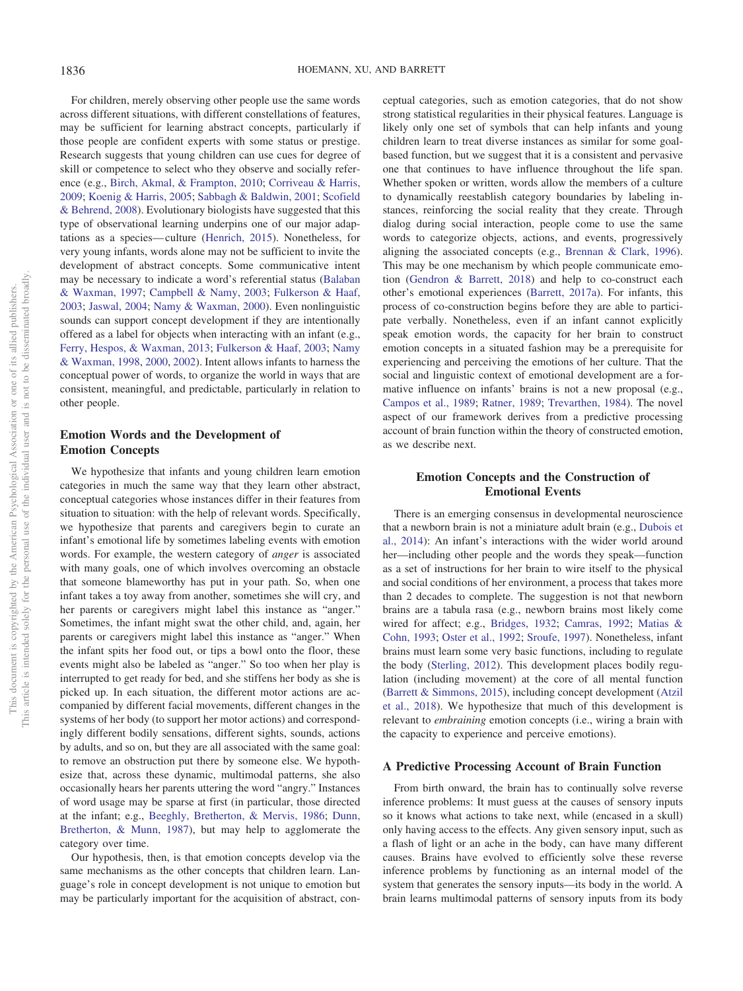For children, merely observing other people use the same words across different situations, with different constellations of features, may be sufficient for learning abstract concepts, particularly if those people are confident experts with some status or prestige. Research suggests that young children can use cues for degree of skill or competence to select who they observe and socially reference (e.g., [Birch, Akmal, & Frampton, 2010;](#page-13-20) [Corriveau & Harris,](#page-14-21) [2009;](#page-14-21) [Koenig & Harris, 2005;](#page-16-20) [Sabbagh & Baldwin, 2001;](#page-17-17) [Scofield](#page-17-18) [& Behrend, 2008\)](#page-17-18). Evolutionary biologists have suggested that this type of observational learning underpins one of our major adaptations as a species— culture [\(Henrich, 2015\)](#page-15-24). Nonetheless, for very young infants, words alone may not be sufficient to invite the development of abstract concepts. Some communicative intent may be necessary to indicate a word's referential status [\(Balaban](#page-12-12) [& Waxman, 1997;](#page-12-12) [Campbell & Namy, 2003;](#page-13-21) [Fulkerson & Haaf,](#page-15-25) [2003;](#page-15-25) [Jaswal, 2004;](#page-16-21) [Namy & Waxman, 2000\)](#page-16-22). Even nonlinguistic sounds can support concept development if they are intentionally offered as a label for objects when interacting with an infant (e.g., [Ferry, Hespos, & Waxman, 2013;](#page-14-17) [Fulkerson & Haaf, 2003;](#page-15-25) [Namy](#page-16-23) [& Waxman, 1998,](#page-16-23) [2000,](#page-16-22) [2002\)](#page-16-24). Intent allows infants to harness the conceptual power of words, to organize the world in ways that are consistent, meaningful, and predictable, particularly in relation to other people.

# **Emotion Words and the Development of Emotion Concepts**

We hypothesize that infants and young children learn emotion categories in much the same way that they learn other abstract, conceptual categories whose instances differ in their features from situation to situation: with the help of relevant words. Specifically, we hypothesize that parents and caregivers begin to curate an infant's emotional life by sometimes labeling events with emotion words. For example, the western category of *anger* is associated with many goals, one of which involves overcoming an obstacle that someone blameworthy has put in your path. So, when one infant takes a toy away from another, sometimes she will cry, and her parents or caregivers might label this instance as "anger." Sometimes, the infant might swat the other child, and, again, her parents or caregivers might label this instance as "anger." When the infant spits her food out, or tips a bowl onto the floor, these events might also be labeled as "anger." So too when her play is interrupted to get ready for bed, and she stiffens her body as she is picked up. In each situation, the different motor actions are accompanied by different facial movements, different changes in the systems of her body (to support her motor actions) and correspondingly different bodily sensations, different sights, sounds, actions by adults, and so on, but they are all associated with the same goal: to remove an obstruction put there by someone else. We hypothesize that, across these dynamic, multimodal patterns, she also occasionally hears her parents uttering the word "angry." Instances of word usage may be sparse at first (in particular, those directed at the infant; e.g., [Beeghly, Bretherton, & Mervis, 1986;](#page-13-22) [Dunn,](#page-14-22) [Bretherton, & Munn, 1987\)](#page-14-22), but may help to agglomerate the category over time.

Our hypothesis, then, is that emotion concepts develop via the same mechanisms as the other concepts that children learn. Language's role in concept development is not unique to emotion but may be particularly important for the acquisition of abstract, conceptual categories, such as emotion categories, that do not show strong statistical regularities in their physical features. Language is likely only one set of symbols that can help infants and young children learn to treat diverse instances as similar for some goalbased function, but we suggest that it is a consistent and pervasive one that continues to have influence throughout the life span. Whether spoken or written, words allow the members of a culture to dynamically reestablish category boundaries by labeling instances, reinforcing the social reality that they create. Through dialog during social interaction, people come to use the same words to categorize objects, actions, and events, progressively aligning the associated concepts (e.g., [Brennan & Clark, 1996\)](#page-13-23). This may be one mechanism by which people communicate emotion [\(Gendron & Barrett, 2018\)](#page-15-26) and help to co-construct each other's emotional experiences [\(Barrett, 2017a\)](#page-12-0). For infants, this process of co-construction begins before they are able to participate verbally. Nonetheless, even if an infant cannot explicitly speak emotion words, the capacity for her brain to construct emotion concepts in a situated fashion may be a prerequisite for experiencing and perceiving the emotions of her culture. That the social and linguistic context of emotional development are a formative influence on infants' brains is not a new proposal (e.g., [Campos et al., 1989;](#page-13-6) [Ratner, 1989;](#page-17-2) [Trevarthen, 1984\)](#page-18-5). The novel aspect of our framework derives from a predictive processing account of brain function within the theory of constructed emotion, as we describe next.

# **Emotion Concepts and the Construction of Emotional Events**

There is an emerging consensus in developmental neuroscience that a newborn brain is not a miniature adult brain (e.g., [Dubois et](#page-14-23) [al., 2014\)](#page-14-23): An infant's interactions with the wider world around her—including other people and the words they speak—function as a set of instructions for her brain to wire itself to the physical and social conditions of her environment, a process that takes more than 2 decades to complete. The suggestion is not that newborn brains are a tabula rasa (e.g., newborn brains most likely come wired for affect; e.g., [Bridges, 1932;](#page-13-0) [Camras, 1992;](#page-13-1) [Matias &](#page-16-1) [Cohn, 1993;](#page-16-1) [Oster et al., 1992;](#page-17-0) [Sroufe, 1997\)](#page-18-24). Nonetheless, infant brains must learn some very basic functions, including to regulate the body [\(Sterling, 2012\)](#page-18-25). This development places bodily regulation (including movement) at the core of all mental function [\(Barrett & Simmons, 2015\)](#page-13-3), including concept development [\(Atzil](#page-12-14) [et al., 2018\)](#page-12-14). We hypothesize that much of this development is relevant to *embraining* emotion concepts (i.e., wiring a brain with the capacity to experience and perceive emotions).

## **A Predictive Processing Account of Brain Function**

From birth onward, the brain has to continually solve reverse inference problems: It must guess at the causes of sensory inputs so it knows what actions to take next, while (encased in a skull) only having access to the effects. Any given sensory input, such as a flash of light or an ache in the body, can have many different causes. Brains have evolved to efficiently solve these reverse inference problems by functioning as an internal model of the system that generates the sensory inputs—its body in the world. A brain learns multimodal patterns of sensory inputs from its body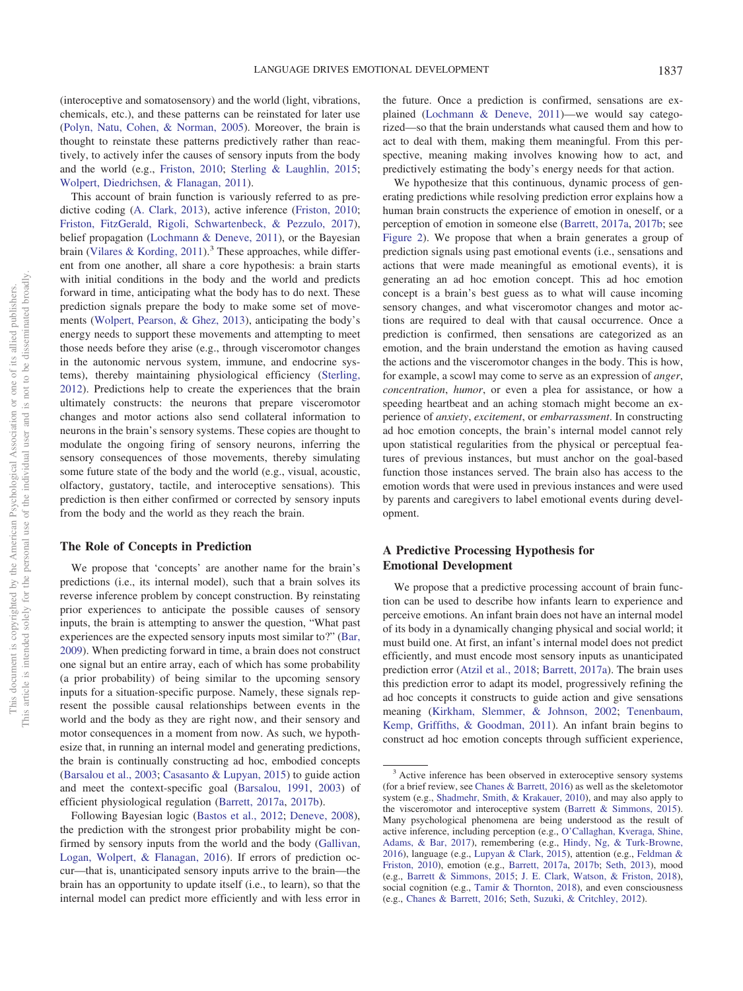(interoceptive and somatosensory) and the world (light, vibrations, chemicals, etc.), and these patterns can be reinstated for later use [\(Polyn, Natu, Cohen, & Norman, 2005\)](#page-17-19). Moreover, the brain is thought to reinstate these patterns predictively rather than reactively, to actively infer the causes of sensory inputs from the body and the world (e.g., [Friston, 2010;](#page-15-27) [Sterling & Laughlin, 2015;](#page-18-26) [Wolpert, Diedrichsen, & Flanagan, 2011\)](#page-19-8).

This account of brain function is variously referred to as predictive coding [\(A. Clark, 2013\)](#page-14-24), active inference [\(Friston, 2010;](#page-15-27) [Friston, FitzGerald, Rigoli, Schwartenbeck, & Pezzulo, 2017\)](#page-15-28), belief propagation [\(Lochmann & Deneve, 2011\)](#page-16-25), or the Bayesian brain [\(Vilares & Kording, 2011\)](#page-18-27).<sup>3</sup> These approaches, while different from one another, all share a core hypothesis: a brain starts with initial conditions in the body and the world and predicts forward in time, anticipating what the body has to do next. These prediction signals prepare the body to make some set of movements [\(Wolpert, Pearson, & Ghez, 2013\)](#page-19-9), anticipating the body's energy needs to support these movements and attempting to meet those needs before they arise (e.g., through visceromotor changes in the autonomic nervous system, immune, and endocrine systems), thereby maintaining physiological efficiency [\(Sterling,](#page-18-25) [2012\)](#page-18-25). Predictions help to create the experiences that the brain ultimately constructs: the neurons that prepare visceromotor changes and motor actions also send collateral information to neurons in the brain's sensory systems. These copies are thought to modulate the ongoing firing of sensory neurons, inferring the sensory consequences of those movements, thereby simulating some future state of the body and the world (e.g., visual, acoustic, olfactory, gustatory, tactile, and interoceptive sensations). This prediction is then either confirmed or corrected by sensory inputs from the body and the world as they reach the brain.

## **The Role of Concepts in Prediction**

We propose that 'concepts' are another name for the brain's predictions (i.e., its internal model), such that a brain solves its reverse inference problem by concept construction. By reinstating prior experiences to anticipate the possible causes of sensory inputs, the brain is attempting to answer the question, "What past experiences are the expected sensory inputs most similar to?" [\(Bar,](#page-12-18) [2009\)](#page-12-18). When predicting forward in time, a brain does not construct one signal but an entire array, each of which has some probability (a prior probability) of being similar to the upcoming sensory inputs for a situation-specific purpose. Namely, these signals represent the possible causal relationships between events in the world and the body as they are right now, and their sensory and motor consequences in a moment from now. As such, we hypothesize that, in running an internal model and generating predictions, the brain is continually constructing ad hoc, embodied concepts [\(Barsalou et al., 2003;](#page-13-11) [Casasanto & Lupyan, 2015\)](#page-13-24) to guide action and meet the context-specific goal [\(Barsalou, 1991,](#page-13-25) [2003\)](#page-13-26) of efficient physiological regulation [\(Barrett, 2017a,](#page-12-0) [2017b\)](#page-12-1).

the future. Once a prediction is confirmed, sensations are explained [\(Lochmann & Deneve, 2011\)](#page-16-25)—we would say categorized—so that the brain understands what caused them and how to act to deal with them, making them meaningful. From this perspective, meaning making involves knowing how to act, and predictively estimating the body's energy needs for that action.

We hypothesize that this continuous, dynamic process of generating predictions while resolving prediction error explains how a human brain constructs the experience of emotion in oneself, or a perception of emotion in someone else [\(Barrett, 2017a,](#page-12-0) [2017b;](#page-12-1) see [Figure 2\)](#page-8-0). We propose that when a brain generates a group of prediction signals using past emotional events (i.e., sensations and actions that were made meaningful as emotional events), it is generating an ad hoc emotion concept. This ad hoc emotion concept is a brain's best guess as to what will cause incoming sensory changes, and what visceromotor changes and motor actions are required to deal with that causal occurrence. Once a prediction is confirmed, then sensations are categorized as an emotion, and the brain understand the emotion as having caused the actions and the visceromotor changes in the body. This is how, for example, a scowl may come to serve as an expression of *anger*, *concentration*, *humor*, or even a plea for assistance, or how a speeding heartbeat and an aching stomach might become an experience of *anxiety*, *excitement*, or *embarrassment*. In constructing ad hoc emotion concepts, the brain's internal model cannot rely upon statistical regularities from the physical or perceptual features of previous instances, but must anchor on the goal-based function those instances served. The brain also has access to the emotion words that were used in previous instances and were used by parents and caregivers to label emotional events during development.

# **A Predictive Processing Hypothesis for Emotional Development**

We propose that a predictive processing account of brain function can be used to describe how infants learn to experience and perceive emotions. An infant brain does not have an internal model of its body in a dynamically changing physical and social world; it must build one. At first, an infant's internal model does not predict efficiently, and must encode most sensory inputs as unanticipated prediction error [\(Atzil et al., 2018;](#page-12-14) [Barrett, 2017a\)](#page-12-0). The brain uses this prediction error to adapt its model, progressively refining the ad hoc concepts it constructs to guide action and give sensations meaning [\(Kirkham, Slemmer, & Johnson, 2002;](#page-16-26) [Tenenbaum,](#page-18-28) [Kemp, Griffiths, & Goodman, 2011\)](#page-18-28). An infant brain begins to construct ad hoc emotion concepts through sufficient experience,

Following Bayesian logic [\(Bastos et al., 2012;](#page-13-27) [Deneve, 2008\)](#page-14-25), the prediction with the strongest prior probability might be confirmed by sensory inputs from the world and the body [\(Gallivan,](#page-15-29) [Logan, Wolpert, & Flanagan, 2016\)](#page-15-29). If errors of prediction occur—that is, unanticipated sensory inputs arrive to the brain—the brain has an opportunity to update itself (i.e., to learn), so that the internal model can predict more efficiently and with less error in

<sup>&</sup>lt;sup>3</sup> Active inference has been observed in exteroceptive sensory systems (for a brief review, see [Chanes & Barrett, 2016\)](#page-14-2) as well as the skeletomotor system (e.g., [Shadmehr, Smith, & Krakauer, 2010\)](#page-17-20), and may also apply to the visceromotor and interoceptive system [\(Barrett & Simmons, 2015\)](#page-13-3). Many psychological phenomena are being understood as the result of active inference, including perception (e.g., [O'Callaghan, Kveraga, Shine,](#page-17-21) [Adams, & Bar, 2017\)](#page-17-21), remembering (e.g., [Hindy, Ng, & Turk-Browne,](#page-15-30) [2016\)](#page-15-30), language (e.g., [Lupyan & Clark, 2015\)](#page-16-27), attention (e.g., [Feldman &](#page-14-26) [Friston, 2010\)](#page-14-26), emotion (e.g., [Barrett, 2017a,](#page-12-0) [2017b;](#page-12-1) [Seth, 2013\)](#page-17-22), mood (e.g., [Barrett & Simmons, 2015;](#page-13-3) [J. E. Clark, Watson, & Friston, 2018\)](#page-14-27), social cognition (e.g., [Tamir & Thornton, 2018\)](#page-18-29), and even consciousness (e.g., [Chanes & Barrett, 2016;](#page-14-2) [Seth, Suzuki, & Critchley, 2012\)](#page-17-23).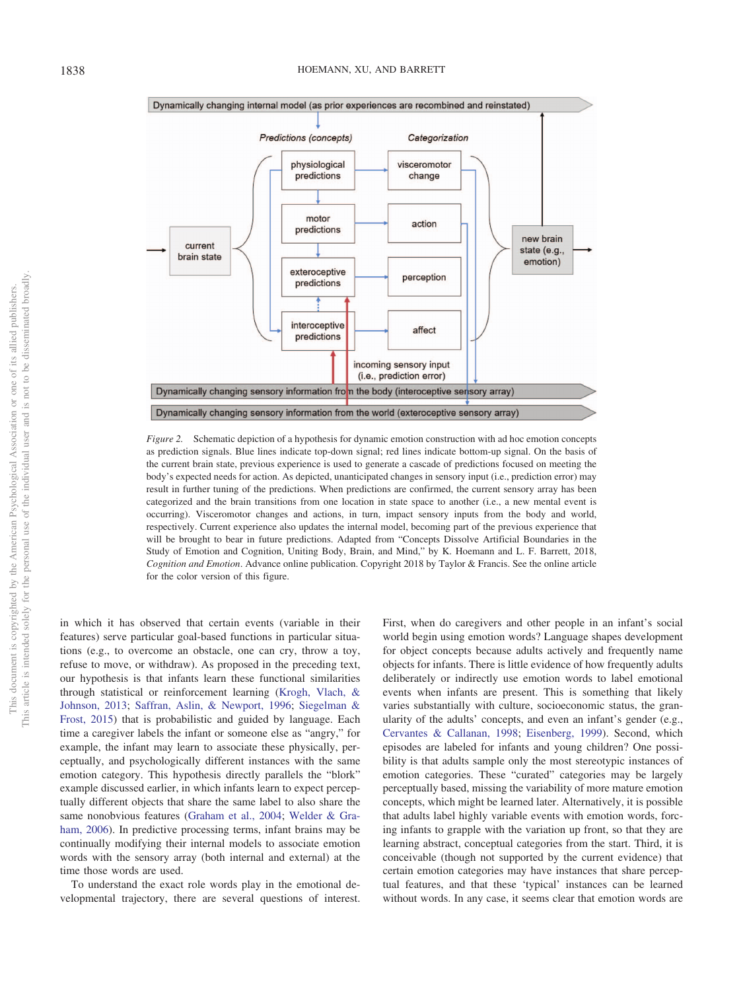

<span id="page-8-0"></span>*Figure 2.* Schematic depiction of a hypothesis for dynamic emotion construction with ad hoc emotion concepts as prediction signals. Blue lines indicate top-down signal; red lines indicate bottom-up signal. On the basis of the current brain state, previous experience is used to generate a cascade of predictions focused on meeting the body's expected needs for action. As depicted, unanticipated changes in sensory input (i.e., prediction error) may result in further tuning of the predictions. When predictions are confirmed, the current sensory array has been categorized and the brain transitions from one location in state space to another (i.e., a new mental event is occurring). Visceromotor changes and actions, in turn, impact sensory inputs from the body and world, respectively. Current experience also updates the internal model, becoming part of the previous experience that will be brought to bear in future predictions. Adapted from "Concepts Dissolve Artificial Boundaries in the Study of Emotion and Cognition, Uniting Body, Brain, and Mind," by K. Hoemann and L. F. Barrett, 2018, *Cognition and Emotion*. Advance online publication. Copyright 2018 by Taylor & Francis. See the online article for the color version of this figure.

in which it has observed that certain events (variable in their features) serve particular goal-based functions in particular situations (e.g., to overcome an obstacle, one can cry, throw a toy, refuse to move, or withdraw). As proposed in the preceding text, our hypothesis is that infants learn these functional similarities through statistical or reinforcement learning [\(Krogh, Vlach, &](#page-16-28) [Johnson, 2013;](#page-16-28) [Saffran, Aslin, & Newport, 1996;](#page-17-24) [Siegelman &](#page-17-25) [Frost, 2015\)](#page-17-25) that is probabilistic and guided by language. Each time a caregiver labels the infant or someone else as "angry," for example, the infant may learn to associate these physically, perceptually, and psychologically different instances with the same emotion category. This hypothesis directly parallels the "blork" example discussed earlier, in which infants learn to expect perceptually different objects that share the same label to also share the same nonobvious features [\(Graham et al., 2004;](#page-15-19) [Welder & Gra](#page-18-22)[ham, 2006\)](#page-18-22). In predictive processing terms, infant brains may be continually modifying their internal models to associate emotion words with the sensory array (both internal and external) at the time those words are used.

To understand the exact role words play in the emotional developmental trajectory, there are several questions of interest.

First, when do caregivers and other people in an infant's social world begin using emotion words? Language shapes development for object concepts because adults actively and frequently name objects for infants. There is little evidence of how frequently adults deliberately or indirectly use emotion words to label emotional events when infants are present. This is something that likely varies substantially with culture, socioeconomic status, the granularity of the adults' concepts, and even an infant's gender (e.g., [Cervantes & Callanan, 1998;](#page-13-28) [Eisenberg, 1999\)](#page-14-28). Second, which episodes are labeled for infants and young children? One possibility is that adults sample only the most stereotypic instances of emotion categories. These "curated" categories may be largely perceptually based, missing the variability of more mature emotion concepts, which might be learned later. Alternatively, it is possible that adults label highly variable events with emotion words, forcing infants to grapple with the variation up front, so that they are learning abstract, conceptual categories from the start. Third, it is conceivable (though not supported by the current evidence) that certain emotion categories may have instances that share perceptual features, and that these 'typical' instances can be learned without words. In any case, it seems clear that emotion words are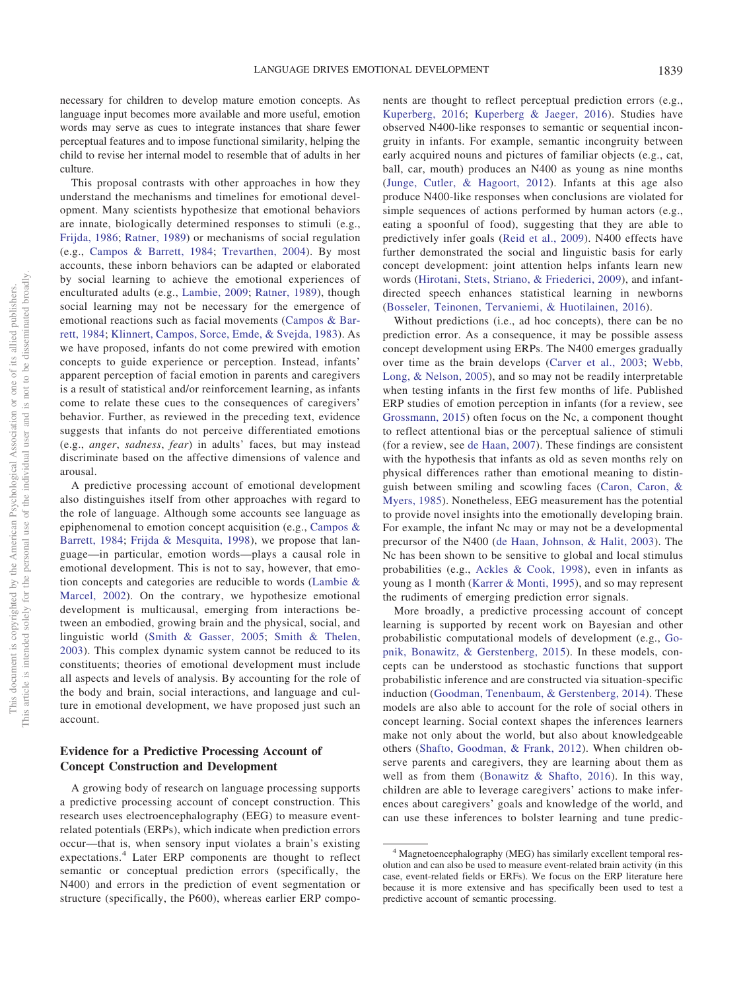necessary for children to develop mature emotion concepts. As language input becomes more available and more useful, emotion words may serve as cues to integrate instances that share fewer perceptual features and to impose functional similarity, helping the child to revise her internal model to resemble that of adults in her culture.

This proposal contrasts with other approaches in how they understand the mechanisms and timelines for emotional development. Many scientists hypothesize that emotional behaviors are innate, biologically determined responses to stimuli (e.g., [Frijda, 1986;](#page-14-29) [Ratner, 1989\)](#page-17-2) or mechanisms of social regulation (e.g., [Campos & Barrett, 1984;](#page-13-29) [Trevarthen, 2004\)](#page-18-30). By most accounts, these inborn behaviors can be adapted or elaborated by social learning to achieve the emotional experiences of enculturated adults (e.g., [Lambie, 2009;](#page-16-29) [Ratner, 1989\)](#page-17-2), though social learning may not be necessary for the emergence of emotional reactions such as facial movements [\(Campos & Bar](#page-13-29)[rett, 1984;](#page-13-29) [Klinnert, Campos, Sorce, Emde, & Svejda, 1983\)](#page-16-5). As we have proposed, infants do not come prewired with emotion concepts to guide experience or perception. Instead, infants' apparent perception of facial emotion in parents and caregivers is a result of statistical and/or reinforcement learning, as infants come to relate these cues to the consequences of caregivers' behavior. Further, as reviewed in the preceding text, evidence suggests that infants do not perceive differentiated emotions (e.g., *anger*, *sadness*, *fear*) in adults' faces, but may instead discriminate based on the affective dimensions of valence and arousal.

A predictive processing account of emotional development also distinguishes itself from other approaches with regard to the role of language. Although some accounts see language as epiphenomenal to emotion concept acquisition (e.g., [Campos &](#page-13-29) [Barrett, 1984;](#page-13-29) [Frijda & Mesquita, 1998\)](#page-15-31), we propose that language—in particular, emotion words—plays a causal role in emotional development. This is not to say, however, that emotion concepts and categories are reducible to words [\(Lambie &](#page-16-30) [Marcel, 2002\)](#page-16-30). On the contrary, we hypothesize emotional development is multicausal, emerging from interactions between an embodied, growing brain and the physical, social, and linguistic world [\(Smith & Gasser, 2005;](#page-17-26) [Smith & Thelen,](#page-17-27) [2003\)](#page-17-27). This complex dynamic system cannot be reduced to its constituents; theories of emotional development must include all aspects and levels of analysis. By accounting for the role of the body and brain, social interactions, and language and culture in emotional development, we have proposed just such an account.

# **Evidence for a Predictive Processing Account of Concept Construction and Development**

A growing body of research on language processing supports a predictive processing account of concept construction. This research uses electroencephalography (EEG) to measure eventrelated potentials (ERPs), which indicate when prediction errors occur—that is, when sensory input violates a brain's existing expectations.<sup>4</sup> Later ERP components are thought to reflect semantic or conceptual prediction errors (specifically, the N400) and errors in the prediction of event segmentation or structure (specifically, the P600), whereas earlier ERP compo-

nents are thought to reflect perceptual prediction errors (e.g., [Kuperberg, 2016;](#page-16-31) [Kuperberg & Jaeger, 2016\)](#page-16-32). Studies have observed N400-like responses to semantic or sequential incongruity in infants. For example, semantic incongruity between early acquired nouns and pictures of familiar objects (e.g., cat, ball, car, mouth) produces an N400 as young as nine months [\(Junge, Cutler, & Hagoort, 2012\)](#page-16-33). Infants at this age also produce N400-like responses when conclusions are violated for simple sequences of actions performed by human actors (e.g., eating a spoonful of food), suggesting that they are able to predictively infer goals [\(Reid et al., 2009\)](#page-17-28). N400 effects have further demonstrated the social and linguistic basis for early concept development: joint attention helps infants learn new words [\(Hirotani, Stets, Striano, & Friederici, 2009\)](#page-15-32), and infantdirected speech enhances statistical learning in newborns [\(Bosseler, Teinonen, Tervaniemi, & Huotilainen, 2016\)](#page-13-30).

Without predictions (i.e., ad hoc concepts), there can be no prediction error. As a consequence, it may be possible assess concept development using ERPs. The N400 emerges gradually over time as the brain develops [\(Carver et al., 2003;](#page-13-31) [Webb,](#page-18-31) [Long, & Nelson, 2005\)](#page-18-31), and so may not be readily interpretable when testing infants in the first few months of life. Published ERP studies of emotion perception in infants (for a review, see [Grossmann, 2015\)](#page-15-33) often focus on the Nc, a component thought to reflect attentional bias or the perceptual salience of stimuli (for a review, see [de Haan, 2007\)](#page-14-30). These findings are consistent with the hypothesis that infants as old as seven months rely on physical differences rather than emotional meaning to distinguish between smiling and scowling faces [\(Caron, Caron, &](#page-13-32) [Myers, 1985\)](#page-13-32). Nonetheless, EEG measurement has the potential to provide novel insights into the emotionally developing brain. For example, the infant Nc may or may not be a developmental precursor of the N400 [\(de Haan, Johnson, & Halit, 2003\)](#page-14-31). The Nc has been shown to be sensitive to global and local stimulus probabilities (e.g., [Ackles & Cook, 1998\)](#page-12-19), even in infants as young as 1 month [\(Karrer & Monti, 1995\)](#page-16-34), and so may represent the rudiments of emerging prediction error signals.

More broadly, a predictive processing account of concept learning is supported by recent work on Bayesian and other probabilistic computational models of development (e.g., [Go](#page-15-34)[pnik, Bonawitz, & Gerstenberg, 2015\)](#page-15-34). In these models, concepts can be understood as stochastic functions that support probabilistic inference and are constructed via situation-specific induction [\(Goodman, Tenenbaum, & Gerstenberg, 2014\)](#page-15-18). These models are also able to account for the role of social others in concept learning. Social context shapes the inferences learners make not only about the world, but also about knowledgeable others [\(Shafto, Goodman, & Frank, 2012\)](#page-17-29). When children observe parents and caregivers, they are learning about them as well as from them [\(Bonawitz & Shafto, 2016\)](#page-13-19). In this way, children are able to leverage caregivers' actions to make inferences about caregivers' goals and knowledge of the world, and can use these inferences to bolster learning and tune predic-

<sup>4</sup> Magnetoencephalography (MEG) has similarly excellent temporal resolution and can also be used to measure event-related brain activity (in this case, event-related fields or ERFs). We focus on the ERP literature here because it is more extensive and has specifically been used to test a predictive account of semantic processing.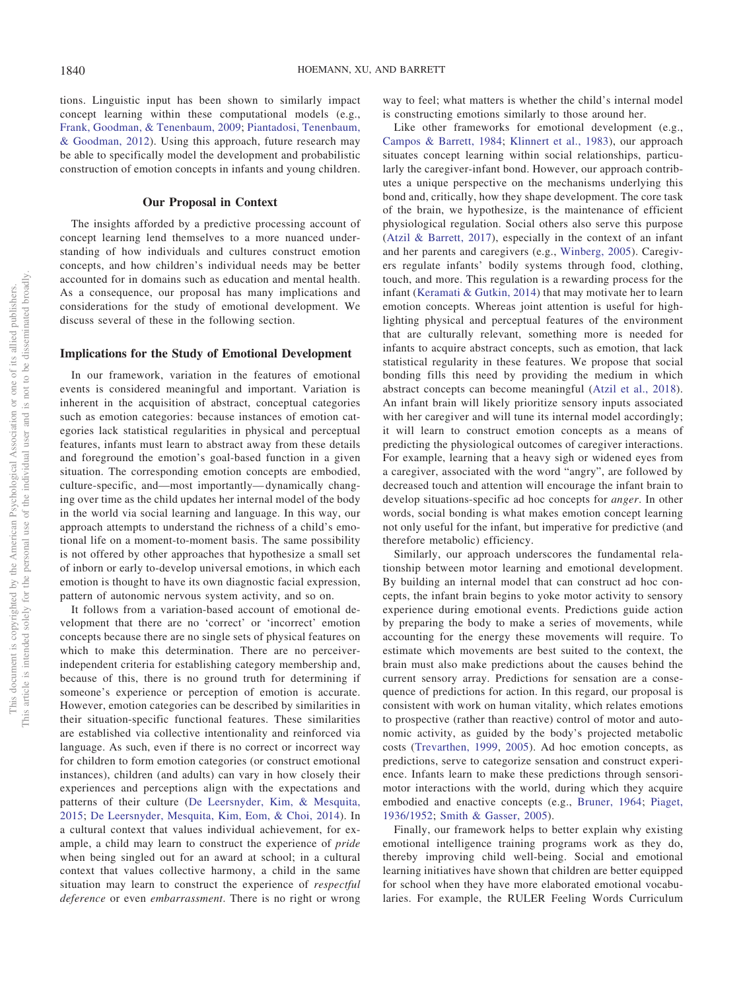tions. Linguistic input has been shown to similarly impact concept learning within these computational models (e.g., [Frank, Goodman, & Tenenbaum, 2009;](#page-14-32) [Piantadosi, Tenenbaum,](#page-17-30) [& Goodman, 2012\)](#page-17-30). Using this approach, future research may be able to specifically model the development and probabilistic construction of emotion concepts in infants and young children.

### **Our Proposal in Context**

The insights afforded by a predictive processing account of concept learning lend themselves to a more nuanced understanding of how individuals and cultures construct emotion concepts, and how children's individual needs may be better accounted for in domains such as education and mental health. As a consequence, our proposal has many implications and considerations for the study of emotional development. We discuss several of these in the following section.

## **Implications for the Study of Emotional Development**

In our framework, variation in the features of emotional events is considered meaningful and important. Variation is inherent in the acquisition of abstract, conceptual categories such as emotion categories: because instances of emotion categories lack statistical regularities in physical and perceptual features, infants must learn to abstract away from these details and foreground the emotion's goal-based function in a given situation. The corresponding emotion concepts are embodied, culture-specific, and—most importantly— dynamically changing over time as the child updates her internal model of the body in the world via social learning and language. In this way, our approach attempts to understand the richness of a child's emotional life on a moment-to-moment basis. The same possibility is not offered by other approaches that hypothesize a small set of inborn or early to-develop universal emotions, in which each emotion is thought to have its own diagnostic facial expression, pattern of autonomic nervous system activity, and so on.

It follows from a variation-based account of emotional development that there are no 'correct' or 'incorrect' emotion concepts because there are no single sets of physical features on which to make this determination. There are no perceiverindependent criteria for establishing category membership and, because of this, there is no ground truth for determining if someone's experience or perception of emotion is accurate. However, emotion categories can be described by similarities in their situation-specific functional features. These similarities are established via collective intentionality and reinforced via language. As such, even if there is no correct or incorrect way for children to form emotion categories (or construct emotional instances), children (and adults) can vary in how closely their experiences and perceptions align with the expectations and patterns of their culture [\(De Leersnyder, Kim, & Mesquita,](#page-14-33) [2015;](#page-14-33) [De Leersnyder, Mesquita, Kim, Eom, & Choi, 2014\)](#page-14-34). In a cultural context that values individual achievement, for example, a child may learn to construct the experience of *pride* when being singled out for an award at school; in a cultural context that values collective harmony, a child in the same situation may learn to construct the experience of *respectful deference* or even *embarrassment*. There is no right or wrong

way to feel; what matters is whether the child's internal model is constructing emotions similarly to those around her.

Like other frameworks for emotional development (e.g., [Campos & Barrett, 1984;](#page-13-29) [Klinnert et al., 1983\)](#page-16-5), our approach situates concept learning within social relationships, particularly the caregiver-infant bond. However, our approach contributes a unique perspective on the mechanisms underlying this bond and, critically, how they shape development. The core task of the brain, we hypothesize, is the maintenance of efficient physiological regulation. Social others also serve this purpose [\(Atzil & Barrett, 2017\)](#page-12-20), especially in the context of an infant and her parents and caregivers (e.g., [Winberg, 2005\)](#page-19-10). Caregivers regulate infants' bodily systems through food, clothing, touch, and more. This regulation is a rewarding process for the infant [\(Keramati & Gutkin, 2014\)](#page-16-35) that may motivate her to learn emotion concepts. Whereas joint attention is useful for highlighting physical and perceptual features of the environment that are culturally relevant, something more is needed for infants to acquire abstract concepts, such as emotion, that lack statistical regularity in these features. We propose that social bonding fills this need by providing the medium in which abstract concepts can become meaningful [\(Atzil et al., 2018\)](#page-12-14). An infant brain will likely prioritize sensory inputs associated with her caregiver and will tune its internal model accordingly; it will learn to construct emotion concepts as a means of predicting the physiological outcomes of caregiver interactions. For example, learning that a heavy sigh or widened eyes from a caregiver, associated with the word "angry", are followed by decreased touch and attention will encourage the infant brain to develop situations-specific ad hoc concepts for *anger*. In other words, social bonding is what makes emotion concept learning not only useful for the infant, but imperative for predictive (and therefore metabolic) efficiency.

Similarly, our approach underscores the fundamental relationship between motor learning and emotional development. By building an internal model that can construct ad hoc concepts, the infant brain begins to yoke motor activity to sensory experience during emotional events. Predictions guide action by preparing the body to make a series of movements, while accounting for the energy these movements will require. To estimate which movements are best suited to the context, the brain must also make predictions about the causes behind the current sensory array. Predictions for sensation are a consequence of predictions for action. In this regard, our proposal is consistent with work on human vitality, which relates emotions to prospective (rather than reactive) control of motor and autonomic activity, as guided by the body's projected metabolic costs [\(Trevarthen, 1999,](#page-18-32) [2005\)](#page-18-30). Ad hoc emotion concepts, as predictions, serve to categorize sensation and construct experience. Infants learn to make these predictions through sensorimotor interactions with the world, during which they acquire embodied and enactive concepts (e.g., [Bruner, 1964;](#page-13-33) [Piaget,](#page-17-31) [1936/1952;](#page-17-31) [Smith & Gasser, 2005\)](#page-17-26).

Finally, our framework helps to better explain why existing emotional intelligence training programs work as they do, thereby improving child well-being. Social and emotional learning initiatives have shown that children are better equipped for school when they have more elaborated emotional vocabularies. For example, the RULER Feeling Words Curriculum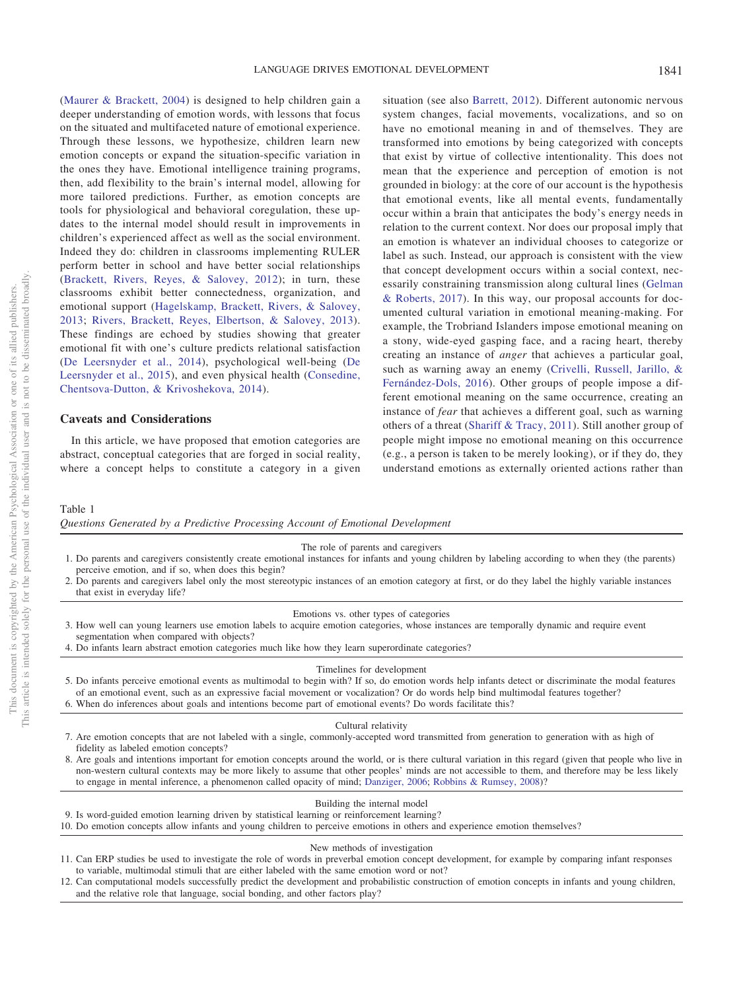[\(Maurer & Brackett, 2004\)](#page-16-36) is designed to help children gain a deeper understanding of emotion words, with lessons that focus on the situated and multifaceted nature of emotional experience. Through these lessons, we hypothesize, children learn new emotion concepts or expand the situation-specific variation in the ones they have. Emotional intelligence training programs, then, add flexibility to the brain's internal model, allowing for more tailored predictions. Further, as emotion concepts are tools for physiological and behavioral coregulation, these updates to the internal model should result in improvements in children's experienced affect as well as the social environment. Indeed they do: children in classrooms implementing RULER perform better in school and have better social relationships [\(Brackett, Rivers, Reyes, & Salovey, 2012\)](#page-13-34); in turn, these classrooms exhibit better connectedness, organization, and emotional support [\(Hagelskamp, Brackett, Rivers, & Salovey,](#page-15-35) [2013;](#page-15-35) [Rivers, Brackett, Reyes, Elbertson, & Salovey, 2013\)](#page-17-32). These findings are echoed by studies showing that greater emotional fit with one's culture predicts relational satisfaction [\(De Leersnyder et al., 2014\)](#page-14-34), psychological well-being [\(De](#page-14-33) [Leersnyder et al., 2015\)](#page-14-33), and even physical health [\(Consedine,](#page-14-35) [Chentsova-Dutton, & Krivoshekova, 2014\)](#page-14-35).

### **Caveats and Considerations**

In this article, we have proposed that emotion categories are abstract, conceptual categories that are forged in social reality, where a concept helps to constitute a category in a given

situation (see also [Barrett, 2012\)](#page-12-9). Different autonomic nervous system changes, facial movements, vocalizations, and so on have no emotional meaning in and of themselves. They are transformed into emotions by being categorized with concepts that exist by virtue of collective intentionality. This does not mean that the experience and perception of emotion is not grounded in biology: at the core of our account is the hypothesis that emotional events, like all mental events, fundamentally occur within a brain that anticipates the body's energy needs in relation to the current context. Nor does our proposal imply that an emotion is whatever an individual chooses to categorize or label as such. Instead, our approach is consistent with the view that concept development occurs within a social context, necessarily constraining transmission along cultural lines [\(Gelman](#page-15-13) [& Roberts, 2017\)](#page-15-13). In this way, our proposal accounts for documented cultural variation in emotional meaning-making. For example, the Trobriand Islanders impose emotional meaning on a stony, wide-eyed gasping face, and a racing heart, thereby creating an instance of *anger* that achieves a particular goal, such as warning away an enemy [\(Crivelli, Russell, Jarillo, &](#page-14-36) [Fernández-Dols, 2016\)](#page-14-36). Other groups of people impose a different emotional meaning on the same occurrence, creating an instance of *fear* that achieves a different goal, such as warning others of a threat [\(Shariff & Tracy, 2011\)](#page-17-11). Still another group of people might impose no emotional meaning on this occurrence (e.g., a person is taken to be merely looking), or if they do, they understand emotions as externally oriented actions rather than

# <span id="page-11-0"></span>Table 1

*Questions Generated by a Predictive Processing Account of Emotional Development*

#### The role of parents and caregivers

- 1. Do parents and caregivers consistently create emotional instances for infants and young children by labeling according to when they (the parents) perceive emotion, and if so, when does this begin?
- 2. Do parents and caregivers label only the most stereotypic instances of an emotion category at first, or do they label the highly variable instances that exist in everyday life?

#### Emotions vs. other types of categories

- 3. How well can young learners use emotion labels to acquire emotion categories, whose instances are temporally dynamic and require event segmentation when compared with objects?
- 4. Do infants learn abstract emotion categories much like how they learn superordinate categories?

#### Timelines for development

5. Do infants perceive emotional events as multimodal to begin with? If so, do emotion words help infants detect or discriminate the modal features of an emotional event, such as an expressive facial movement or vocalization? Or do words help bind multimodal features together? 6. When do inferences about goals and intentions become part of emotional events? Do words facilitate this?

#### Cultural relativity

- 7. Are emotion concepts that are not labeled with a single, commonly-accepted word transmitted from generation to generation with as high of fidelity as labeled emotion concepts?
- 8. Are goals and intentions important for emotion concepts around the world, or is there cultural variation in this regard (given that people who live in non-western cultural contexts may be more likely to assume that other peoples' minds are not accessible to them, and therefore may be less likely to engage in mental inference, a phenomenon called opacity of mind; [Danziger, 2006;](#page-14-37) [Robbins & Rumsey, 2008\)](#page-17-33)?

#### Building the internal model

- 9. Is word-guided emotion learning driven by statistical learning or reinforcement learning?
- 10. Do emotion concepts allow infants and young children to perceive emotions in others and experience emotion themselves?

#### New methods of investigation

- 11. Can ERP studies be used to investigate the role of words in preverbal emotion concept development, for example by comparing infant responses to variable, multimodal stimuli that are either labeled with the same emotion word or not?
- 12. Can computational models successfully predict the development and probabilistic construction of emotion concepts in infants and young children, and the relative role that language, social bonding, and other factors play?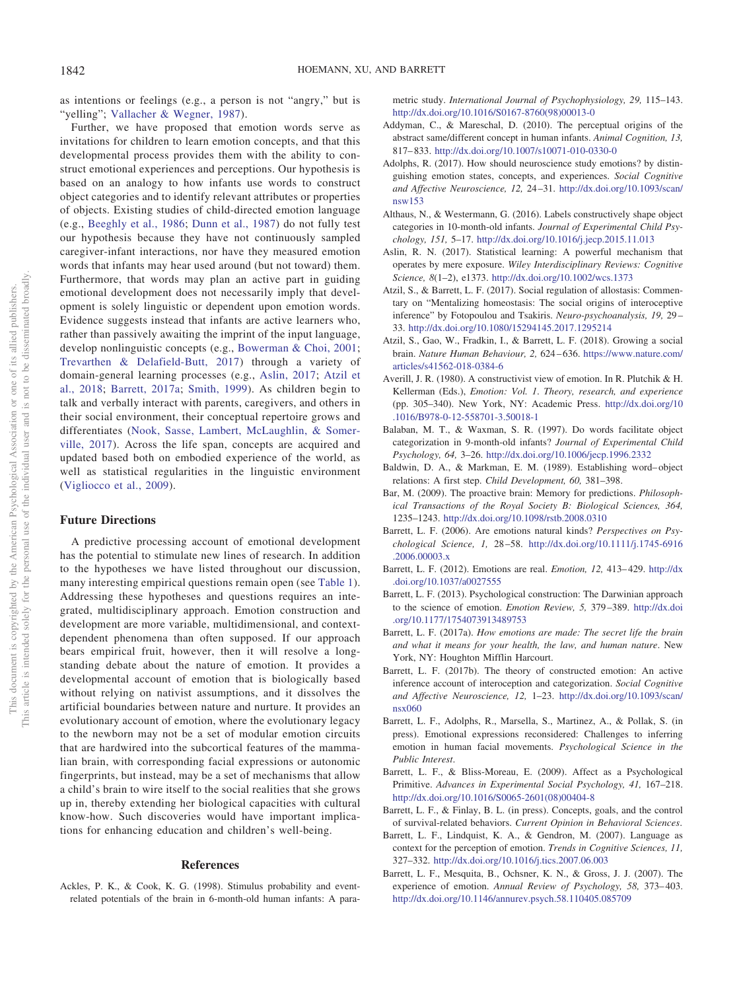as intentions or feelings (e.g., a person is not "angry," but is "yelling"; [Vallacher & Wegner, 1987\)](#page-18-33).

Further, we have proposed that emotion words serve as invitations for children to learn emotion concepts, and that this developmental process provides them with the ability to construct emotional experiences and perceptions. Our hypothesis is based on an analogy to how infants use words to construct object categories and to identify relevant attributes or properties of objects. Existing studies of child-directed emotion language (e.g., [Beeghly et al., 1986;](#page-13-22) [Dunn et al., 1987\)](#page-14-22) do not fully test our hypothesis because they have not continuously sampled caregiver-infant interactions, nor have they measured emotion words that infants may hear used around (but not toward) them. Furthermore, that words may plan an active part in guiding emotional development does not necessarily imply that development is solely linguistic or dependent upon emotion words. Evidence suggests instead that infants are active learners who, rather than passively awaiting the imprint of the input language, develop nonlinguistic concepts (e.g., [Bowerman & Choi, 2001;](#page-13-35) [Trevarthen & Delafield-Butt, 2017\)](#page-18-34) through a variety of domain-general learning processes (e.g., [Aslin, 2017;](#page-12-13) [Atzil et](#page-12-14) [al., 2018;](#page-12-14) [Barrett, 2017a;](#page-12-0) [Smith, 1999\)](#page-17-34). As children begin to talk and verbally interact with parents, caregivers, and others in their social environment, their conceptual repertoire grows and differentiates [\(Nook, Sasse, Lambert, McLaughlin, & Somer](#page-16-37)[ville, 2017\)](#page-16-37). Across the life span, concepts are acquired and updated based both on embodied experience of the world, as well as statistical regularities in the linguistic environment [\(Vigliocco et al., 2009\)](#page-18-3).

## **Future Directions**

This document is copyrighted by the American Psychological Association or one of its allied publishers. This article is intended solely for the personal use of the individual user and is not to be disseminated broadly.

This document is copyrighted by the American Psychological Association This article is intended solely for the personal use of the individual user and

 $\rm \tilde{o}$  $\widetilde{\Xi}$ 

not to be disseminated broadly one of its allied publishers.

> A predictive processing account of emotional development has the potential to stimulate new lines of research. In addition to the hypotheses we have listed throughout our discussion, many interesting empirical questions remain open (see [Table 1\)](#page-11-0). Addressing these hypotheses and questions requires an integrated, multidisciplinary approach. Emotion construction and development are more variable, multidimensional, and contextdependent phenomena than often supposed. If our approach bears empirical fruit, however, then it will resolve a longstanding debate about the nature of emotion. It provides a developmental account of emotion that is biologically based without relying on nativist assumptions, and it dissolves the artificial boundaries between nature and nurture. It provides an evolutionary account of emotion, where the evolutionary legacy to the newborn may not be a set of modular emotion circuits that are hardwired into the subcortical features of the mammalian brain, with corresponding facial expressions or autonomic fingerprints, but instead, may be a set of mechanisms that allow a child's brain to wire itself to the social realities that she grows up in, thereby extending her biological capacities with cultural know-how. Such discoveries would have important implications for enhancing education and children's well-being.

## **References**

<span id="page-12-19"></span>Ackles, P. K., & Cook, K. G. (1998). Stimulus probability and eventrelated potentials of the brain in 6-month-old human infants: A parametric study. *International Journal of Psychophysiology, 29,* 115–143. [http://dx.doi.org/10.1016/S0167-8760\(98\)00013-0](http://dx.doi.org/10.1016/S0167-8760%2898%2900013-0)

- <span id="page-12-16"></span>Addyman, C., & Mareschal, D. (2010). The perceptual origins of the abstract same/different concept in human infants. *Animal Cognition, 13,* 817– 833. <http://dx.doi.org/10.1007/s10071-010-0330-0>
- <span id="page-12-6"></span>Adolphs, R. (2017). How should neuroscience study emotions? by distinguishing emotion states, concepts, and experiences. *Social Cognitive and Affective Neuroscience, 12,* 24 –31. [http://dx.doi.org/10.1093/scan/](http://dx.doi.org/10.1093/scan/nsw153) [nsw153](http://dx.doi.org/10.1093/scan/nsw153)
- <span id="page-12-17"></span>Althaus, N., & Westermann, G. (2016). Labels constructively shape object categories in 10-month-old infants. *Journal of Experimental Child Psychology, 151,* 5–17. <http://dx.doi.org/10.1016/j.jecp.2015.11.013>
- <span id="page-12-13"></span>Aslin, R. N. (2017). Statistical learning: A powerful mechanism that operates by mere exposure. *Wiley Interdisciplinary Reviews: Cognitive Science, 8*(1–2), e1373. <http://dx.doi.org/10.1002/wcs.1373>
- <span id="page-12-20"></span>Atzil, S., & Barrett, L. F. (2017). Social regulation of allostasis: Commentary on "Mentalizing homeostasis: The social origins of interoceptive inference" by Fotopoulou and Tsakiris. *Neuro-psychoanalysis, 19,* 29 – 33. <http://dx.doi.org/10.1080/15294145.2017.1295214>
- <span id="page-12-14"></span>Atzil, S., Gao, W., Fradkin, I., & Barrett, L. F. (2018). Growing a social brain. *Nature Human Behaviour, 2,* 624 – 636. [https://www.nature.com/](https://www.nature.com/articles/s41562-018-0384-6) [articles/s41562-018-0384-6](https://www.nature.com/articles/s41562-018-0384-6)
- <span id="page-12-2"></span>Averill, J. R. (1980). A constructivist view of emotion. In R. Plutchik & H. Kellerman (Eds.), *Emotion: Vol. 1*. *Theory, research, and experience* (pp. 305–340). New York, NY: Academic Press. [http://dx.doi.org/10](http://dx.doi.org/10.1016/B978-0-12-558701-3.50018-1) [.1016/B978-0-12-558701-3.50018-1](http://dx.doi.org/10.1016/B978-0-12-558701-3.50018-1)
- <span id="page-12-12"></span>Balaban, M. T., & Waxman, S. R. (1997). Do words facilitate object categorization in 9-month-old infants? *Journal of Experimental Child Psychology, 64,* 3–26. <http://dx.doi.org/10.1006/jecp.1996.2332>
- <span id="page-12-15"></span>Baldwin, D. A., & Markman, E. M. (1989). Establishing word– object relations: A first step. *Child Development, 60,* 381–398.
- <span id="page-12-18"></span>Bar, M. (2009). The proactive brain: Memory for predictions. *Philosophical Transactions of the Royal Society B: Biological Sciences, 364,* 1235–1243. <http://dx.doi.org/10.1098/rstb.2008.0310>
- <span id="page-12-8"></span>Barrett, L. F. (2006). Are emotions natural kinds? *Perspectives on Psychological Science, 1,* 28 –58. [http://dx.doi.org/10.1111/j.1745-6916](http://dx.doi.org/10.1111/j.1745-6916.2006.00003.x) [.2006.00003.x](http://dx.doi.org/10.1111/j.1745-6916.2006.00003.x)
- <span id="page-12-9"></span>Barrett, L. F. (2012). Emotions are real. *Emotion, 12,* 413– 429. [http://dx](http://dx.doi.org/10.1037/a0027555) [.doi.org/10.1037/a0027555](http://dx.doi.org/10.1037/a0027555)
- <span id="page-12-10"></span>Barrett, L. F. (2013). Psychological construction: The Darwinian approach to the science of emotion. *Emotion Review, 5,* 379 –389. [http://dx.doi](http://dx.doi.org/10.1177/1754073913489753) [.org/10.1177/1754073913489753](http://dx.doi.org/10.1177/1754073913489753)
- <span id="page-12-0"></span>Barrett, L. F. (2017a). *How emotions are made: The secret life the brain and what it means for your health, the law, and human nature*. New York, NY: Houghton Mifflin Harcourt.
- <span id="page-12-1"></span>Barrett, L. F. (2017b). The theory of constructed emotion: An active inference account of interoception and categorization. *Social Cognitive and Affective Neuroscience, 12,* 1–23. [http://dx.doi.org/10.1093/scan/](http://dx.doi.org/10.1093/scan/nsx060) [nsx060](http://dx.doi.org/10.1093/scan/nsx060)
- <span id="page-12-7"></span>Barrett, L. F., Adolphs, R., Marsella, S., Martinez, A., & Pollak, S. (in press). Emotional expressions reconsidered: Challenges to inferring emotion in human facial movements. *Psychological Science in the Public Interest*.
- <span id="page-12-4"></span>Barrett, L. F., & Bliss-Moreau, E. (2009). Affect as a Psychological Primitive. *Advances in Experimental Social Psychology, 41,* 167–218. [http://dx.doi.org/10.1016/S0065-2601\(08\)00404-8](http://dx.doi.org/10.1016/S0065-2601%2808%2900404-8)
- <span id="page-12-3"></span>Barrett, L. F., & Finlay, B. L. (in press). Concepts, goals, and the control of survival-related behaviors. *Current Opinion in Behavioral Sciences*.
- <span id="page-12-11"></span>Barrett, L. F., Lindquist, K. A., & Gendron, M. (2007). Language as context for the perception of emotion. *Trends in Cognitive Sciences, 11,* 327–332. <http://dx.doi.org/10.1016/j.tics.2007.06.003>
- <span id="page-12-5"></span>Barrett, L. F., Mesquita, B., Ochsner, K. N., & Gross, J. J. (2007). The experience of emotion. *Annual Review of Psychology, 58,* 373– 403. <http://dx.doi.org/10.1146/annurev.psych.58.110405.085709>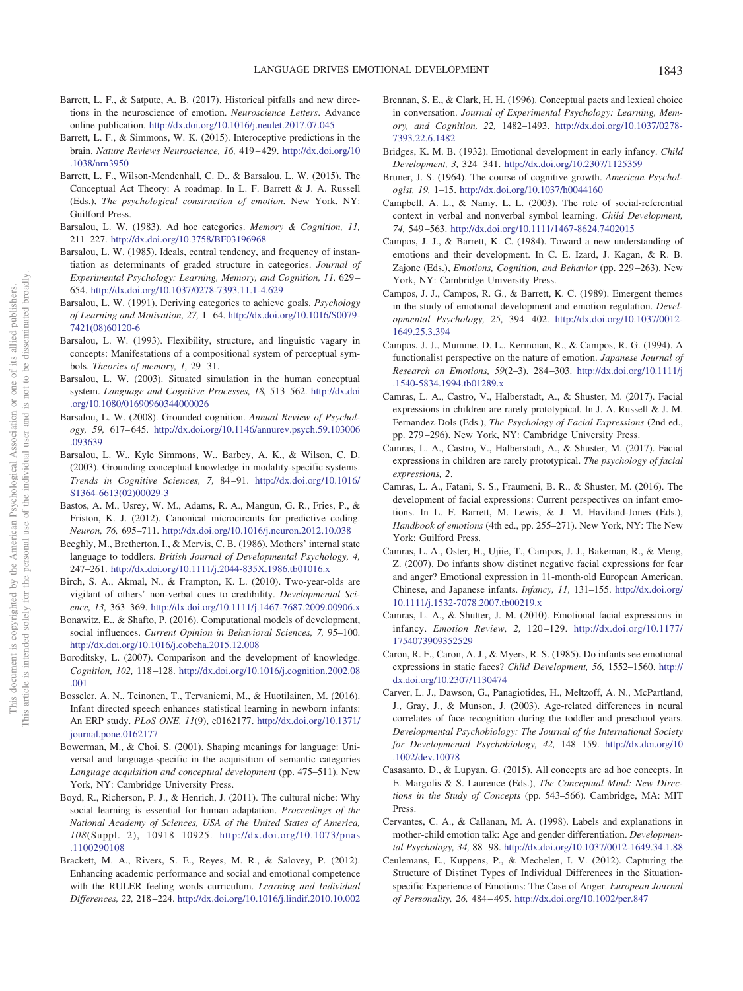- <span id="page-13-2"></span>Barrett, L. F., & Satpute, A. B. (2017). Historical pitfalls and new directions in the neuroscience of emotion. *Neuroscience Letters*. Advance online publication. <http://dx.doi.org/10.1016/j.neulet.2017.07.045>
- <span id="page-13-3"></span>Barrett, L. F., & Simmons, W. K. (2015). Interoceptive predictions in the brain. *Nature Reviews Neuroscience, 16,* 419 – 429. [http://dx.doi.org/10](http://dx.doi.org/10.1038/nrn3950) [.1038/nrn3950](http://dx.doi.org/10.1038/nrn3950)
- <span id="page-13-8"></span>Barrett, L. F., Wilson-Mendenhall, C. D., & Barsalou, L. W. (2015). The Conceptual Act Theory: A roadmap. In L. F. Barrett & J. A. Russell (Eds.), *The psychological construction of emotion*. New York, NY: Guilford Press.
- <span id="page-13-9"></span>Barsalou, L. W. (1983). Ad hoc categories. *Memory & Cognition, 11,* 211–227. <http://dx.doi.org/10.3758/BF03196968>
- <span id="page-13-10"></span>Barsalou, L. W. (1985). Ideals, central tendency, and frequency of instantiation as determinants of graded structure in categories. *Journal of Experimental Psychology: Learning, Memory, and Cognition, 11,* 629 – 654. <http://dx.doi.org/10.1037/0278-7393.11.1-4.629>
- <span id="page-13-25"></span>Barsalou, L. W. (1991). Deriving categories to achieve goals. *Psychology of Learning and Motivation, 27,* 1– 64. [http://dx.doi.org/10.1016/S0079-](http://dx.doi.org/10.1016/S0079-7421%2808%2960120-6) [7421\(08\)60120-6](http://dx.doi.org/10.1016/S0079-7421%2808%2960120-6)
- <span id="page-13-12"></span>Barsalou, L. W. (1993). Flexibility, structure, and linguistic vagary in concepts: Manifestations of a compositional system of perceptual symbols. *Theories of memory, 1,* 29 –31.
- <span id="page-13-26"></span>Barsalou, L. W. (2003). Situated simulation in the human conceptual system. *Language and Cognitive Processes, 18,* 513–562. [http://dx.doi](http://dx.doi.org/10.1080/01690960344000026) [.org/10.1080/01690960344000026](http://dx.doi.org/10.1080/01690960344000026)
- <span id="page-13-4"></span>Barsalou, L. W. (2008). Grounded cognition. *Annual Review of Psychology, 59,* 617– 645. [http://dx.doi.org/10.1146/annurev.psych.59.103006](http://dx.doi.org/10.1146/annurev.psych.59.103006.093639) [.093639](http://dx.doi.org/10.1146/annurev.psych.59.103006.093639)
- <span id="page-13-11"></span>Barsalou, L. W., Kyle Simmons, W., Barbey, A. K., & Wilson, C. D. (2003). Grounding conceptual knowledge in modality-specific systems. *Trends in Cognitive Sciences, 7,* 84 –91. [http://dx.doi.org/10.1016/](http://dx.doi.org/10.1016/S1364-6613%2802%2900029-3) [S1364-6613\(02\)00029-3](http://dx.doi.org/10.1016/S1364-6613%2802%2900029-3)
- <span id="page-13-27"></span>Bastos, A. M., Usrey, W. M., Adams, R. A., Mangun, G. R., Fries, P., & Friston, K. J. (2012). Canonical microcircuits for predictive coding. *Neuron, 76,* 695–711. <http://dx.doi.org/10.1016/j.neuron.2012.10.038>
- <span id="page-13-22"></span>Beeghly, M., Bretherton, I., & Mervis, C. B. (1986). Mothers' internal state language to toddlers. *British Journal of Developmental Psychology, 4,* 247–261. <http://dx.doi.org/10.1111/j.2044-835X.1986.tb01016.x>
- <span id="page-13-20"></span>Birch, S. A., Akmal, N., & Frampton, K. L. (2010). Two-year-olds are vigilant of others' non-verbal cues to credibility. *Developmental Science, 13,* 363–369. <http://dx.doi.org/10.1111/j.1467-7687.2009.00906.x>
- <span id="page-13-19"></span>Bonawitz, E., & Shafto, P. (2016). Computational models of development, social influences. *Current Opinion in Behavioral Sciences, 7,* 95–100. <http://dx.doi.org/10.1016/j.cobeha.2015.12.008>
- <span id="page-13-18"></span>Boroditsky, L. (2007). Comparison and the development of knowledge. *Cognition, 102,* 118 –128. [http://dx.doi.org/10.1016/j.cognition.2002.08](http://dx.doi.org/10.1016/j.cognition.2002.08.001) [.001](http://dx.doi.org/10.1016/j.cognition.2002.08.001)
- <span id="page-13-30"></span>Bosseler, A. N., Teinonen, T., Tervaniemi, M., & Huotilainen, M. (2016). Infant directed speech enhances statistical learning in newborn infants: An ERP study. *PLoS ONE, 11*(9), e0162177. [http://dx.doi.org/10.1371/](http://dx.doi.org/10.1371/journal.pone.0162177) [journal.pone.0162177](http://dx.doi.org/10.1371/journal.pone.0162177)
- <span id="page-13-35"></span>Bowerman, M., & Choi, S. (2001). Shaping meanings for language: Universal and language-specific in the acquisition of semantic categories *Language acquisition and conceptual development* (pp. 475–511). New York, NY: Cambridge University Press.
- <span id="page-13-5"></span>Boyd, R., Richerson, P. J., & Henrich, J. (2011). The cultural niche: Why social learning is essential for human adaptation. *Proceedings of the National Academy of Sciences, USA of the United States of America, 108*(Suppl. 2), 10918 –10925. [http://dx.doi.org/10.1073/pnas](http://dx.doi.org/10.1073/pnas.1100290108) [.1100290108](http://dx.doi.org/10.1073/pnas.1100290108)
- <span id="page-13-34"></span>Brackett, M. A., Rivers, S. E., Reyes, M. R., & Salovey, P. (2012). Enhancing academic performance and social and emotional competence with the RULER feeling words curriculum. *Learning and Individual Differences, 22,* 218 –224. <http://dx.doi.org/10.1016/j.lindif.2010.10.002>
- <span id="page-13-23"></span>Brennan, S. E., & Clark, H. H. (1996). Conceptual pacts and lexical choice in conversation. *Journal of Experimental Psychology: Learning, Memory, and Cognition, 22,* 1482–1493. [http://dx.doi.org/10.1037/0278-](http://dx.doi.org/10.1037/0278-7393.22.6.1482) [7393.22.6.1482](http://dx.doi.org/10.1037/0278-7393.22.6.1482)
- <span id="page-13-0"></span>Bridges, K. M. B. (1932). Emotional development in early infancy. *Child Development, 3,* 324 –341. <http://dx.doi.org/10.2307/1125359>
- <span id="page-13-33"></span>Bruner, J. S. (1964). The course of cognitive growth. *American Psychologist, 19,* 1–15. <http://dx.doi.org/10.1037/h0044160>
- <span id="page-13-21"></span>Campbell, A. L., & Namy, L. L. (2003). The role of social-referential context in verbal and nonverbal symbol learning. *Child Development, 74,* 549 –563. <http://dx.doi.org/10.1111/1467-8624.7402015>
- <span id="page-13-29"></span>Campos, J. J., & Barrett, K. C. (1984). Toward a new understanding of emotions and their development. In C. E. Izard, J. Kagan, & R. B. Zajonc (Eds.), *Emotions, Cognition, and Behavior* (pp. 229 –263). New York, NY: Cambridge University Press.
- <span id="page-13-6"></span>Campos, J. J., Campos, R. G., & Barrett, K. C. (1989). Emergent themes in the study of emotional development and emotion regulation. *Developmental Psychology, 25,* 394 – 402. [http://dx.doi.org/10.1037/0012-](http://dx.doi.org/10.1037/0012-1649.25.3.394) [1649.25.3.394](http://dx.doi.org/10.1037/0012-1649.25.3.394)
- <span id="page-13-7"></span>Campos, J. J., Mumme, D. L., Kermoian, R., & Campos, R. G. (1994). A functionalist perspective on the nature of emotion. *Japanese Journal of Research on Emotions, 59*(2–3), 284 –303. [http://dx.doi.org/10.1111/j](http://dx.doi.org/10.1111/j.1540-5834.1994.tb01289.x) [.1540-5834.1994.tb01289.x](http://dx.doi.org/10.1111/j.1540-5834.1994.tb01289.x)
- <span id="page-13-1"></span>Camras, L. A., Castro, V., Halberstadt, A., & Shuster, M. (2017). Facial expressions in children are rarely prototypical. In J. A. Russell & J. M. Fernandez-Dols (Eds.), *The Psychology of Facial Expressions* (2nd ed., pp. 279 –296). New York, NY: Cambridge University Press.
- <span id="page-13-13"></span>Camras, L. A., Castro, V., Halberstadt, A., & Shuster, M. (2017). Facial expressions in children are rarely prototypical. *The psychology of facial expressions, 2*.
- <span id="page-13-14"></span>Camras, L. A., Fatani, S. S., Fraumeni, B. R., & Shuster, M. (2016). The development of facial expressions: Current perspectives on infant emotions. In L. F. Barrett, M. Lewis, & J. M. Haviland-Jones (Eds.), *Handbook of emotions* (4th ed., pp. 255–271). New York, NY: The New York: Guilford Press.
- <span id="page-13-16"></span>Camras, L. A., Oster, H., Ujiie, T., Campos, J. J., Bakeman, R., & Meng, Z. (2007). Do infants show distinct negative facial expressions for fear and anger? Emotional expression in 11-month-old European American, Chinese, and Japanese infants. *Infancy, 11,* 131–155. [http://dx.doi.org/](http://dx.doi.org/10.1111/j.1532-7078.2007.tb00219.x) [10.1111/j.1532-7078.2007.tb00219.x](http://dx.doi.org/10.1111/j.1532-7078.2007.tb00219.x)
- <span id="page-13-15"></span>Camras, L. A., & Shutter, J. M. (2010). Emotional facial expressions in infancy. *Emotion Review, 2,* 120 –129. [http://dx.doi.org/10.1177/](http://dx.doi.org/10.1177/1754073909352529) [1754073909352529](http://dx.doi.org/10.1177/1754073909352529)
- <span id="page-13-32"></span>Caron, R. F., Caron, A. J., & Myers, R. S. (1985). Do infants see emotional expressions in static faces? *Child Development, 56,* 1552–1560. [http://](http://dx.doi.org/10.2307/1130474) [dx.doi.org/10.2307/1130474](http://dx.doi.org/10.2307/1130474)
- <span id="page-13-31"></span>Carver, L. J., Dawson, G., Panagiotides, H., Meltzoff, A. N., McPartland, J., Gray, J., & Munson, J. (2003). Age-related differences in neural correlates of face recognition during the toddler and preschool years. *Developmental Psychobiology: The Journal of the International Society for Developmental Psychobiology, 42,* 148 –159. [http://dx.doi.org/10](http://dx.doi.org/10.1002/dev.10078) [.1002/dev.10078](http://dx.doi.org/10.1002/dev.10078)
- <span id="page-13-24"></span>Casasanto, D., & Lupyan, G. (2015). All concepts are ad hoc concepts. In E. Margolis & S. Laurence (Eds.), *The Conceptual Mind: New Directions in the Study of Concepts* (pp. 543–566). Cambridge, MA: MIT Press.
- <span id="page-13-28"></span>Cervantes, C. A., & Callanan, M. A. (1998). Labels and explanations in mother-child emotion talk: Age and gender differentiation. *Developmental Psychology, 34,* 88 –98. <http://dx.doi.org/10.1037/0012-1649.34.1.88>
- <span id="page-13-17"></span>Ceulemans, E., Kuppens, P., & Mechelen, I. V. (2012). Capturing the Structure of Distinct Types of Individual Differences in the Situationspecific Experience of Emotions: The Case of Anger. *European Journal of Personality, 26,* 484 – 495. <http://dx.doi.org/10.1002/per.847>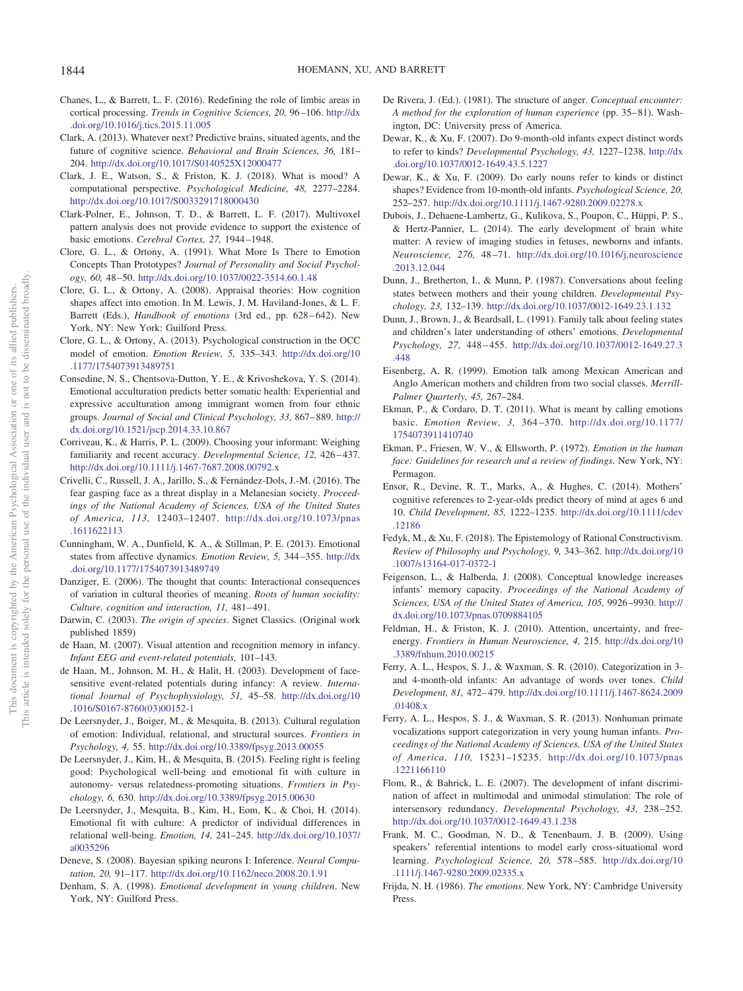- <span id="page-14-2"></span>Chanes, L., & Barrett, L. F. (2016). Redefining the role of limbic areas in cortical processing. *Trends in Cognitive Sciences, 20,* 96 –106. [http://dx](http://dx.doi.org/10.1016/j.tics.2015.11.005) [.doi.org/10.1016/j.tics.2015.11.005](http://dx.doi.org/10.1016/j.tics.2015.11.005)
- <span id="page-14-24"></span>Clark, A. (2013). Whatever next? Predictive brains, situated agents, and the future of cognitive science. *Behavioral and Brain Sciences, 36,* 181– 204. <http://dx.doi.org/10.1017/S0140525X12000477>
- <span id="page-14-27"></span>Clark, J. E., Watson, S., & Friston, K. J. (2018). What is mood? A computational perspective. *Psychological Medicine, 48,* 2277–2284. <http://dx.doi.org/10.1017/S0033291718000430>
- <span id="page-14-9"></span>Clark-Polner, E., Johnson, T. D., & Barrett, L. F. (2017). Multivoxel pattern analysis does not provide evidence to support the existence of basic emotions. *Cerebral Cortex, 27,* 1944 –1948.
- <span id="page-14-6"></span>Clore, G. L., & Ortony, A. (1991). What More Is There to Emotion Concepts Than Prototypes? *Journal of Personality and Social Psychology, 60,* 48 –50. <http://dx.doi.org/10.1037/0022-3514.60.1.48>
- <span id="page-14-4"></span>Clore, G. L., & Ortony, A. (2008). Appraisal theories: How cognition shapes affect into emotion. In M. Lewis, J. M. Haviland-Jones, & L. F. Barrett (Eds.), *Handbook of emotions* (3rd ed., pp. 628-642). New York, NY: New York: Guilford Press.
- <span id="page-14-5"></span>Clore, G. L., & Ortony, A. (2013). Psychological construction in the OCC model of emotion. *Emotion Review, 5,* 335–343. [http://dx.doi.org/10](http://dx.doi.org/10.1177/1754073913489751) [.1177/1754073913489751](http://dx.doi.org/10.1177/1754073913489751)
- <span id="page-14-35"></span>Consedine, N. S., Chentsova-Dutton, Y. E., & Krivoshekova, Y. S. (2014). Emotional acculturation predicts better somatic health: Experiential and expressive acculturation among immigrant women from four ethnic groups. *Journal of Social and Clinical Psychology, 33,* 867– 889. [http://](http://dx.doi.org/10.1521/jscp.2014.33.10.867) [dx.doi.org/10.1521/jscp.2014.33.10.867](http://dx.doi.org/10.1521/jscp.2014.33.10.867)
- <span id="page-14-21"></span>Corriveau, K., & Harris, P. L. (2009). Choosing your informant: Weighing familiarity and recent accuracy. *Developmental Science*, 12, 426-437. <http://dx.doi.org/10.1111/j.1467-7687.2008.00792.x>
- <span id="page-14-36"></span>Crivelli, C., Russell, J. A., Jarillo, S., & Fernández-Dols, J.-M. (2016). The fear gasping face as a threat display in a Melanesian society. *Proceedings of the National Academy of Sciences, USA of the United States of America, 113,* 12403–12407. [http://dx.doi.org/10.1073/pnas](http://dx.doi.org/10.1073/pnas.1611622113) [.1611622113](http://dx.doi.org/10.1073/pnas.1611622113)
- <span id="page-14-1"></span>Cunningham, W. A., Dunfield, K. A., & Stillman, P. E. (2013). Emotional states from affective dynamics. *Emotion Review, 5,* 344 –355. [http://dx](http://dx.doi.org/10.1177/1754073913489749) [.doi.org/10.1177/1754073913489749](http://dx.doi.org/10.1177/1754073913489749)
- <span id="page-14-37"></span>Danziger, E. (2006). The thought that counts: Interactional consequences of variation in cultural theories of meaning. *Roots of human sociality: Culture, cognition and interaction, 11,* 481– 491.
- <span id="page-14-8"></span>Darwin, C. (2003). *The origin of species*. Signet Classics. (Original work published 1859)
- <span id="page-14-30"></span>de Haan, M. (2007). Visual attention and recognition memory in infancy. *Infant EEG and event-related potentials,* 101–143.
- <span id="page-14-31"></span>de Haan, M., Johnson, M. H., & Halit, H. (2003). Development of facesensitive event-related potentials during infancy: A review. *International Journal of Psychophysiology, 51,* 45–58. [http://dx.doi.org/10](http://dx.doi.org/10.1016/S0167-8760%2803%2900152-1) [.1016/S0167-8760\(03\)00152-1](http://dx.doi.org/10.1016/S0167-8760%2803%2900152-1)
- <span id="page-14-0"></span>De Leersnyder, J., Boiger, M., & Mesquita, B. (2013). Cultural regulation of emotion: Individual, relational, and structural sources. *Frontiers in Psychology, 4,* 55. <http://dx.doi.org/10.3389/fpsyg.2013.00055>
- <span id="page-14-33"></span>De Leersnyder, J., Kim, H., & Mesquita, B. (2015). Feeling right is feeling good: Psychological well-being and emotional fit with culture in autonomy- versus relatedness-promoting situations. *Frontiers in Psychology, 6,* 630. <http://dx.doi.org/10.3389/fpsyg.2015.00630>
- <span id="page-14-34"></span>De Leersnyder, J., Mesquita, B., Kim, H., Eom, K., & Choi, H. (2014). Emotional fit with culture: A predictor of individual differences in relational well-being. *Emotion, 14,* 241–245. [http://dx.doi.org/10.1037/](http://dx.doi.org/10.1037/a0035296) [a0035296](http://dx.doi.org/10.1037/a0035296)
- <span id="page-14-25"></span>Deneve, S. (2008). Bayesian spiking neurons I: Inference. *Neural Computation, 20,* 91–117. <http://dx.doi.org/10.1162/neco.2008.20.1.91>
- <span id="page-14-12"></span>Denham, S. A. (1998). *Emotional development in young children*. New York, NY: Guilford Press.
- <span id="page-14-10"></span>De Rivera, J. (Ed.). (1981). The structure of anger. *Conceptual encounter: A method for the exploration of human experience* (pp. 35– 81). Washington, DC: University press of America.
- <span id="page-14-18"></span>Dewar, K., & Xu, F. (2007). Do 9-month-old infants expect distinct words to refer to kinds? *Developmental Psychology, 43,* 1227–1238. [http://dx](http://dx.doi.org/10.1037/0012-1649.43.5.1227) [.doi.org/10.1037/0012-1649.43.5.1227](http://dx.doi.org/10.1037/0012-1649.43.5.1227)
- <span id="page-14-19"></span>Dewar, K., & Xu, F. (2009). Do early nouns refer to kinds or distinct shapes? Evidence from 10-month-old infants. *Psychological Science, 20,* 252–257. <http://dx.doi.org/10.1111/j.1467-9280.2009.02278.x>
- <span id="page-14-23"></span>Dubois, J., Dehaene-Lambertz, G., Kulikova, S., Poupon, C., Hüppi, P. S., & Hertz-Pannier, L. (2014). The early development of brain white matter: A review of imaging studies in fetuses, newborns and infants. *Neuroscience, 276,* 48 –71. [http://dx.doi.org/10.1016/j.neuroscience](http://dx.doi.org/10.1016/j.neuroscience.2013.12.044) [.2013.12.044](http://dx.doi.org/10.1016/j.neuroscience.2013.12.044)
- <span id="page-14-22"></span>Dunn, J., Bretherton, I., & Munn, P. (1987). Conversations about feeling states between mothers and their young children. *Developmental Psychology, 23,* 132–139. <http://dx.doi.org/10.1037/0012-1649.23.1.132>
- <span id="page-14-14"></span>Dunn, J., Brown, J., & Beardsall, L. (1991). Family talk about feeling states and children's later understanding of others' emotions. *Developmental Psychology, 27,* 448 – 455. [http://dx.doi.org/10.1037/0012-1649.27.3](http://dx.doi.org/10.1037/0012-1649.27.3.448) [.448](http://dx.doi.org/10.1037/0012-1649.27.3.448)
- <span id="page-14-28"></span>Eisenberg, A. R. (1999). Emotion talk among Mexican American and Anglo American mothers and children from two social classes. *Merrill-Palmer Quarterly, 45,* 267–284.
- <span id="page-14-7"></span>Ekman, P., & Cordaro, D. T. (2011). What is meant by calling emotions basic. *Emotion Review, 3,* 364 –370. [http://dx.doi.org/10.1177/](http://dx.doi.org/10.1177/1754073911410740) [1754073911410740](http://dx.doi.org/10.1177/1754073911410740)
- <span id="page-14-13"></span>Ekman, P., Friesen, W. V., & Ellsworth, P. (1972). *Emotion in the human face: Guidelines for research and a review of findings*. New York, NY: Permagon.
- <span id="page-14-15"></span>Ensor, R., Devine, R. T., Marks, A., & Hughes, C. (2014). Mothers' cognitive references to 2-year-olds predict theory of mind at ages 6 and 10. *Child Development, 85,* 1222–1235. [http://dx.doi.org/10.1111/cdev](http://dx.doi.org/10.1111/cdev.12186) [.12186](http://dx.doi.org/10.1111/cdev.12186)
- <span id="page-14-3"></span>Fedyk, M., & Xu, F. (2018). The Epistemology of Rational Constructivism. *Review of Philosophy and Psychology, 9,* 343–362. [http://dx.doi.org/10](http://dx.doi.org/10.1007/s13164-017-0372-1) [.1007/s13164-017-0372-1](http://dx.doi.org/10.1007/s13164-017-0372-1)
- <span id="page-14-20"></span>Feigenson, L., & Halberda, J. (2008). Conceptual knowledge increases infants' memory capacity. *Proceedings of the National Academy of Sciences, USA of the United States of America, 105,* 9926 –9930. [http://](http://dx.doi.org/10.1073/pnas.0709884105) [dx.doi.org/10.1073/pnas.0709884105](http://dx.doi.org/10.1073/pnas.0709884105)
- <span id="page-14-26"></span>Feldman, H., & Friston, K. J. (2010). Attention, uncertainty, and freeenergy. *Frontiers in Human Neuroscience, 4,* 215. [http://dx.doi.org/10](http://dx.doi.org/10.3389/fnhum.2010.00215) [.3389/fnhum.2010.00215](http://dx.doi.org/10.3389/fnhum.2010.00215)
- <span id="page-14-16"></span>Ferry, A. L., Hespos, S. J., & Waxman, S. R. (2010). Categorization in 3 and 4-month-old infants: An advantage of words over tones. *Child Development, 81,* 472– 479. [http://dx.doi.org/10.1111/j.1467-8624.2009](http://dx.doi.org/10.1111/j.1467-8624.2009.01408.x) [.01408.x](http://dx.doi.org/10.1111/j.1467-8624.2009.01408.x)
- <span id="page-14-17"></span>Ferry, A. L., Hespos, S. J., & Waxman, S. R. (2013). Nonhuman primate vocalizations support categorization in very young human infants. *Proceedings of the National Academy of Sciences, USA of the United States of America, 110,* 15231–15235. [http://dx.doi.org/10.1073/pnas](http://dx.doi.org/10.1073/pnas.1221166110) [.1221166110](http://dx.doi.org/10.1073/pnas.1221166110)
- <span id="page-14-11"></span>Flom, R., & Bahrick, L. E. (2007). The development of infant discrimination of affect in multimodal and unimodal stimulation: The role of intersensory redundancy. *Developmental Psychology, 43,* 238 –252. <http://dx.doi.org/10.1037/0012-1649.43.1.238>
- <span id="page-14-32"></span>Frank, M. C., Goodman, N. D., & Tenenbaum, J. B. (2009). Using speakers' referential intentions to model early cross-situational word learning. *Psychological Science, 20,* 578 –585. [http://dx.doi.org/10](http://dx.doi.org/10.1111/j.1467-9280.2009.02335.x) [.1111/j.1467-9280.2009.02335.x](http://dx.doi.org/10.1111/j.1467-9280.2009.02335.x)
- <span id="page-14-29"></span>Frijda, N. H. (1986). *The emotions*. New York, NY: Cambridge University Press.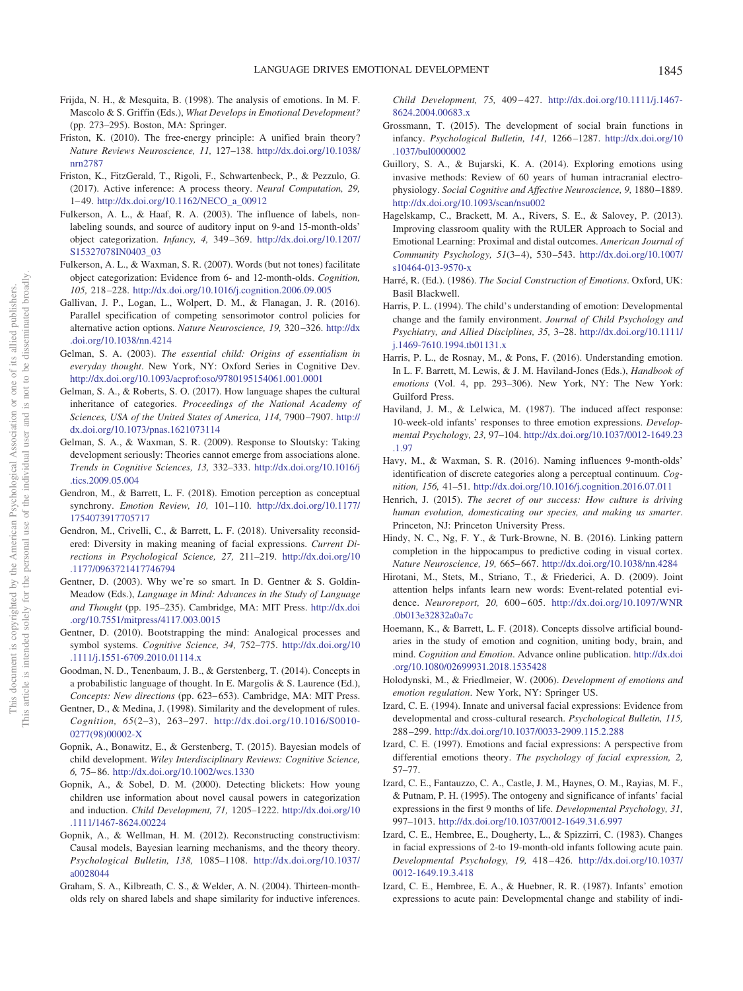- <span id="page-15-31"></span>Frijda, N. H., & Mesquita, B. (1998). The analysis of emotions. In M. F. Mascolo & S. Griffin (Eds.), *What Develops in Emotional Development?* (pp. 273–295). Boston, MA: Springer.
- <span id="page-15-27"></span>Friston, K. (2010). The free-energy principle: A unified brain theory? *Nature Reviews Neuroscience, 11,* 127–138. [http://dx.doi.org/10.1038/](http://dx.doi.org/10.1038/nrn2787) [nrn2787](http://dx.doi.org/10.1038/nrn2787)
- <span id="page-15-28"></span>Friston, K., FitzGerald, T., Rigoli, F., Schwartenbeck, P., & Pezzulo, G. (2017). Active inference: A process theory. *Neural Computation, 29,* 1– 49. [http://dx.doi.org/10.1162/NECO\\_a\\_00912](http://dx.doi.org/10.1162/NECO_a_00912)
- <span id="page-15-25"></span>Fulkerson, A. L., & Haaf, R. A. (2003). The influence of labels, nonlabeling sounds, and source of auditory input on 9-and 15-month-olds' object categorization. *Infancy, 4,* 349 –369. [http://dx.doi.org/10.1207/](http://dx.doi.org/10.1207/S15327078IN0403_03) [S15327078IN0403\\_03](http://dx.doi.org/10.1207/S15327078IN0403_03)
- <span id="page-15-14"></span>Fulkerson, A. L., & Waxman, S. R. (2007). Words (but not tones) facilitate object categorization: Evidence from 6- and 12-month-olds. *Cognition, 105,* 218 –228. <http://dx.doi.org/10.1016/j.cognition.2006.09.005>
- <span id="page-15-29"></span>Gallivan, J. P., Logan, L., Wolpert, D. M., & Flanagan, J. R. (2016). Parallel specification of competing sensorimotor control policies for alternative action options. *Nature Neuroscience, 19,* 320 –326. [http://dx](http://dx.doi.org/10.1038/nn.4214) [.doi.org/10.1038/nn.4214](http://dx.doi.org/10.1038/nn.4214)
- <span id="page-15-22"></span>Gelman, S. A. (2003). *The essential child: Origins of essentialism in everyday thought*. New York, NY: Oxford Series in Cognitive Dev. <http://dx.doi.org/10.1093/acprof:oso/9780195154061.001.0001>
- <span id="page-15-13"></span>Gelman, S. A., & Roberts, S. O. (2017). How language shapes the cultural inheritance of categories. *Proceedings of the National Academy of Sciences, USA of the United States of America, 114,* 7900 –7907. [http://](http://dx.doi.org/10.1073/pnas.1621073114) [dx.doi.org/10.1073/pnas.1621073114](http://dx.doi.org/10.1073/pnas.1621073114)
- <span id="page-15-23"></span>Gelman, S. A., & Waxman, S. R. (2009). Response to Sloutsky: Taking development seriously: Theories cannot emerge from associations alone. *Trends in Cognitive Sciences, 13,* 332–333. [http://dx.doi.org/10.1016/j](http://dx.doi.org/10.1016/j.tics.2009.05.004) [.tics.2009.05.004](http://dx.doi.org/10.1016/j.tics.2009.05.004)
- <span id="page-15-26"></span>Gendron, M., & Barrett, L. F. (2018). Emotion perception as conceptual synchrony. *Emotion Review, 10,* 101–110. [http://dx.doi.org/10.1177/](http://dx.doi.org/10.1177/1754073917705717) [1754073917705717](http://dx.doi.org/10.1177/1754073917705717)
- <span id="page-15-8"></span>Gendron, M., Crivelli, C., & Barrett, L. F. (2018). Universality reconsidered: Diversity in making meaning of facial expressions. *Current Directions in Psychological Science, 27,* 211–219. [http://dx.doi.org/10](http://dx.doi.org/10.1177/0963721417746794) [.1177/0963721417746794](http://dx.doi.org/10.1177/0963721417746794)
- <span id="page-15-17"></span>Gentner, D. (2003). Why we're so smart. In D. Gentner & S. Goldin-Meadow (Eds.), *Language in Mind: Advances in the Study of Language and Thought* (pp. 195–235). Cambridge, MA: MIT Press. [http://dx.doi](http://dx.doi.org/10.7551/mitpress/4117.003.0015) [.org/10.7551/mitpress/4117.003.0015](http://dx.doi.org/10.7551/mitpress/4117.003.0015)
- <span id="page-15-15"></span>Gentner, D. (2010). Bootstrapping the mind: Analogical processes and symbol systems. *Cognitive Science, 34,* 752–775. [http://dx.doi.org/10](http://dx.doi.org/10.1111/j.1551-6709.2010.01114.x) [.1111/j.1551-6709.2010.01114.x](http://dx.doi.org/10.1111/j.1551-6709.2010.01114.x)
- <span id="page-15-18"></span>Goodman, N. D., Tenenbaum, J. B., & Gerstenberg, T. (2014). Concepts in a probabilistic language of thought. In E. Margolis & S. Laurence (Ed.), *Concepts: New directions* (pp. 623– 653). Cambridge, MA: MIT Press.
- <span id="page-15-16"></span>Gentner, D., & Medina, J. (1998). Similarity and the development of rules. *Cognition, 65*(2–3), 263–297. [http://dx.doi.org/10.1016/S0010-](http://dx.doi.org/10.1016/S0010-0277%2898%2900002-X) [0277\(98\)00002-X](http://dx.doi.org/10.1016/S0010-0277%2898%2900002-X)
- <span id="page-15-34"></span>Gopnik, A., Bonawitz, E., & Gerstenberg, T. (2015). Bayesian models of child development. *Wiley Interdisciplinary Reviews: Cognitive Science, 6,* 75– 86. <http://dx.doi.org/10.1002/wcs.1330>
- <span id="page-15-20"></span>Gopnik, A., & Sobel, D. M. (2000). Detecting blickets: How young children use information about novel causal powers in categorization and induction. *Child Development, 71,* 1205–1222. [http://dx.doi.org/10](http://dx.doi.org/10.1111/1467-8624.00224) [.1111/1467-8624.00224](http://dx.doi.org/10.1111/1467-8624.00224)
- <span id="page-15-2"></span>Gopnik, A., & Wellman, H. M. (2012). Reconstructing constructivism: Causal models, Bayesian learning mechanisms, and the theory theory. *Psychological Bulletin, 138,* 1085–1108. [http://dx.doi.org/10.1037/](http://dx.doi.org/10.1037/a0028044) [a0028044](http://dx.doi.org/10.1037/a0028044)
- <span id="page-15-19"></span>Graham, S. A., Kilbreath, C. S., & Welder, A. N. (2004). Thirteen-montholds rely on shared labels and shape similarity for inductive inferences.

*Child Development, 75,* 409 – 427. [http://dx.doi.org/10.1111/j.1467-](http://dx.doi.org/10.1111/j.1467-8624.2004.00683.x) [8624.2004.00683.x](http://dx.doi.org/10.1111/j.1467-8624.2004.00683.x)

- <span id="page-15-33"></span>Grossmann, T. (2015). The development of social brain functions in infancy. *Psychological Bulletin, 141,* 1266 –1287. [http://dx.doi.org/10](http://dx.doi.org/10.1037/bul0000002) [.1037/bul0000002](http://dx.doi.org/10.1037/bul0000002)
- <span id="page-15-7"></span>Guillory, S. A., & Bujarski, K. A. (2014). Exploring emotions using invasive methods: Review of 60 years of human intracranial electrophysiology. *Social Cognitive and Affective Neuroscience, 9,* 1880 –1889. <http://dx.doi.org/10.1093/scan/nsu002>
- <span id="page-15-35"></span>Hagelskamp, C., Brackett, M. A., Rivers, S. E., & Salovey, P. (2013). Improving classroom quality with the RULER Approach to Social and Emotional Learning: Proximal and distal outcomes. *American Journal of Community Psychology, 51*(3– 4), 530 –543. [http://dx.doi.org/10.1007/](http://dx.doi.org/10.1007/s10464-013-9570-x) [s10464-013-9570-x](http://dx.doi.org/10.1007/s10464-013-9570-x)
- <span id="page-15-3"></span>Harré, R. (Ed.). (1986). *The Social Construction of Emotions*. Oxford, UK: Basil Blackwell.
- <span id="page-15-11"></span>Harris, P. L. (1994). The child's understanding of emotion: Developmental change and the family environment. *Journal of Child Psychology and Psychiatry, and Allied Disciplines, 35,* 3–28. [http://dx.doi.org/10.1111/](http://dx.doi.org/10.1111/j.1469-7610.1994.tb01131.x) [j.1469-7610.1994.tb01131.x](http://dx.doi.org/10.1111/j.1469-7610.1994.tb01131.x)
- <span id="page-15-12"></span>Harris, P. L., de Rosnay, M., & Pons, F. (2016). Understanding emotion. In L. F. Barrett, M. Lewis, & J. M. Haviland-Jones (Eds.), *Handbook of emotions* (Vol. 4, pp. 293–306). New York, NY: The New York: Guilford Press.
- <span id="page-15-9"></span>Haviland, J. M., & Lelwica, M. (1987). The induced affect response: 10-week-old infants' responses to three emotion expressions. *Developmental Psychology, 23,* 97–104. [http://dx.doi.org/10.1037/0012-1649.23](http://dx.doi.org/10.1037/0012-1649.23.1.97) [.1.97](http://dx.doi.org/10.1037/0012-1649.23.1.97)
- <span id="page-15-21"></span>Havy, M., & Waxman, S. R. (2016). Naming influences 9-month-olds' identification of discrete categories along a perceptual continuum. *Cognition, 156,* 41–51. <http://dx.doi.org/10.1016/j.cognition.2016.07.011>
- <span id="page-15-24"></span>Henrich, J. (2015). *The secret of our success: How culture is driving human evolution, domesticating our species, and making us smarter*. Princeton, NJ: Princeton University Press.
- <span id="page-15-30"></span>Hindy, N. C., Ng, F. Y., & Turk-Browne, N. B. (2016). Linking pattern completion in the hippocampus to predictive coding in visual cortex. *Nature Neuroscience, 19,* 665– 667. <http://dx.doi.org/10.1038/nn.4284>
- <span id="page-15-32"></span>Hirotani, M., Stets, M., Striano, T., & Friederici, A. D. (2009). Joint attention helps infants learn new words: Event-related potential evidence. *Neuroreport, 20,* 600 – 605. [http://dx.doi.org/10.1097/WNR](http://dx.doi.org/10.1097/WNR.0b013e32832a0a7c) [.0b013e32832a0a7c](http://dx.doi.org/10.1097/WNR.0b013e32832a0a7c)
- Hoemann, K., & Barrett, L. F. (2018). Concepts dissolve artificial boundaries in the study of emotion and cognition, uniting body, brain, and mind. *Cognition and Emotion*. Advance online publication. [http://dx.doi](http://dx.doi.org/10.1080/02699931.2018.1535428) [.org/10.1080/02699931.2018.1535428](http://dx.doi.org/10.1080/02699931.2018.1535428)
- <span id="page-15-1"></span>Holodynski, M., & Friedlmeier, W. (2006). *Development of emotions and emotion regulation*. New York, NY: Springer US.
- <span id="page-15-10"></span>Izard, C. E. (1994). Innate and universal facial expressions: Evidence from developmental and cross-cultural research. *Psychological Bulletin, 115,* 288 –299. <http://dx.doi.org/10.1037/0033-2909.115.2.288>
- <span id="page-15-0"></span>Izard, C. E. (1997). Emotions and facial expressions: A perspective from differential emotions theory. *The psychology of facial expression, 2,* 57–77.
- <span id="page-15-4"></span>Izard, C. E., Fantauzzo, C. A., Castle, J. M., Haynes, O. M., Rayias, M. F., & Putnam, P. H. (1995). The ontogeny and significance of infants' facial expressions in the first 9 months of life. *Developmental Psychology, 31,* 997–1013. <http://dx.doi.org/10.1037/0012-1649.31.6.997>
- <span id="page-15-5"></span>Izard, C. E., Hembree, E., Dougherty, L., & Spizzirri, C. (1983). Changes in facial expressions of 2-to 19-month-old infants following acute pain. *Developmental Psychology, 19,* 418 – 426. [http://dx.doi.org/10.1037/](http://dx.doi.org/10.1037/0012-1649.19.3.418) [0012-1649.19.3.418](http://dx.doi.org/10.1037/0012-1649.19.3.418)
- <span id="page-15-6"></span>Izard, C. E., Hembree, E. A., & Huebner, R. R. (1987). Infants' emotion expressions to acute pain: Developmental change and stability of indi-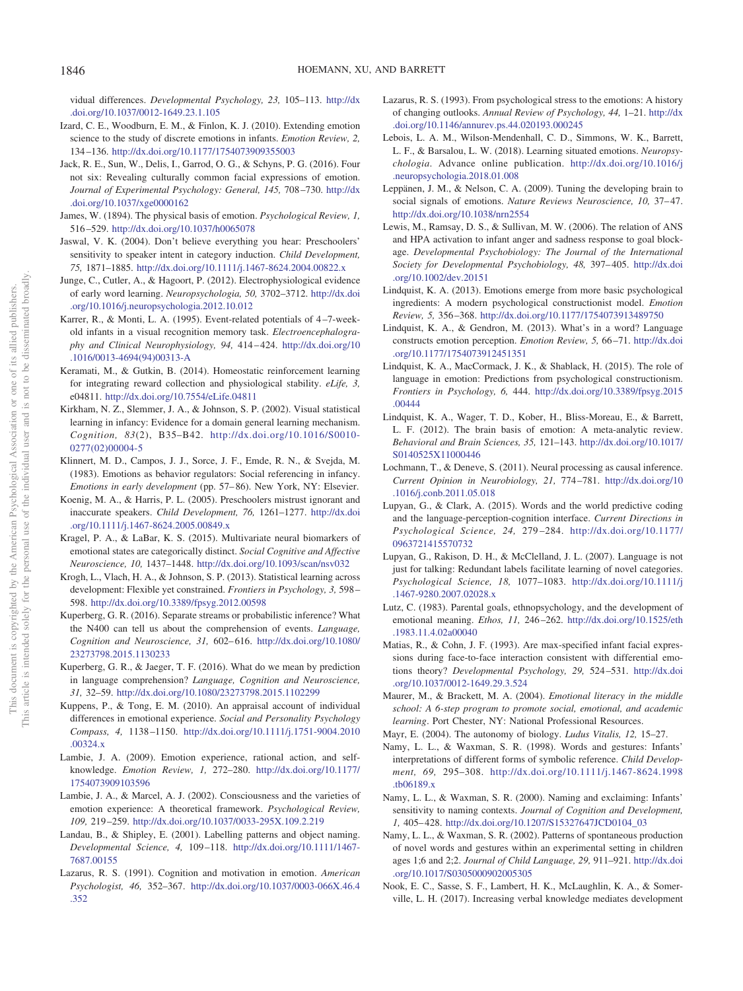vidual differences. *Developmental Psychology, 23,* 105–113. [http://dx](http://dx.doi.org/10.1037/0012-1649.23.1.105) [.doi.org/10.1037/0012-1649.23.1.105](http://dx.doi.org/10.1037/0012-1649.23.1.105)

- <span id="page-16-0"></span>Izard, C. E., Woodburn, E. M., & Finlon, K. J. (2010). Extending emotion science to the study of discrete emotions in infants. *Emotion Review, 2,* 134 –136. <http://dx.doi.org/10.1177/1754073909355003>
- <span id="page-16-15"></span>Jack, R. E., Sun, W., Delis, I., Garrod, O. G., & Schyns, P. G. (2016). Four not six: Revealing culturally common facial expressions of emotion. *Journal of Experimental Psychology: General, 145,* 708 –730. [http://dx](http://dx.doi.org/10.1037/xge0000162) [.doi.org/10.1037/xge0000162](http://dx.doi.org/10.1037/xge0000162)
- <span id="page-16-3"></span>James, W. (1894). The physical basis of emotion. *Psychological Review, 1,* 516 –529. <http://dx.doi.org/10.1037/h0065078>
- <span id="page-16-21"></span>Jaswal, V. K. (2004). Don't believe everything you hear: Preschoolers' sensitivity to speaker intent in category induction. *Child Development, 75,* 1871–1885. <http://dx.doi.org/10.1111/j.1467-8624.2004.00822.x>
- <span id="page-16-33"></span>Junge, C., Cutler, A., & Hagoort, P. (2012). Electrophysiological evidence of early word learning. *Neuropsychologia, 50,* 3702–3712. [http://dx.doi](http://dx.doi.org/10.1016/j.neuropsychologia.2012.10.012) [.org/10.1016/j.neuropsychologia.2012.10.012](http://dx.doi.org/10.1016/j.neuropsychologia.2012.10.012)
- <span id="page-16-34"></span>Karrer, R., & Monti, L. A. (1995). Event-related potentials of 4 –7-weekold infants in a visual recognition memory task. *Electroencephalography and Clinical Neurophysiology, 94,* 414 – 424. [http://dx.doi.org/10](http://dx.doi.org/10.1016/0013-4694%2894%2900313-A) [.1016/0013-4694\(94\)00313-A](http://dx.doi.org/10.1016/0013-4694%2894%2900313-A)
- <span id="page-16-35"></span>Keramati, M., & Gutkin, B. (2014). Homeostatic reinforcement learning for integrating reward collection and physiological stability. *eLife, 3,* e04811. <http://dx.doi.org/10.7554/eLife.04811>
- <span id="page-16-26"></span>Kirkham, N. Z., Slemmer, J. A., & Johnson, S. P. (2002). Visual statistical learning in infancy: Evidence for a domain general learning mechanism. *Cognition, 83*(2), B35–B42. [http://dx.doi.org/10.1016/S0010-](http://dx.doi.org/10.1016/S0010-0277%2802%2900004-5) [0277\(02\)00004-5](http://dx.doi.org/10.1016/S0010-0277%2802%2900004-5)
- <span id="page-16-5"></span>Klinnert, M. D., Campos, J. J., Sorce, J. F., Emde, R. N., & Svejda, M. (1983). Emotions as behavior regulators: Social referencing in infancy. *Emotions in early development* (pp. 57– 86). New York, NY: Elsevier.
- <span id="page-16-20"></span>Koenig, M. A., & Harris, P. L. (2005). Preschoolers mistrust ignorant and inaccurate speakers. *Child Development, 76,* 1261–1277. [http://dx.doi](http://dx.doi.org/10.1111/j.1467-8624.2005.00849.x) [.org/10.1111/j.1467-8624.2005.00849.x](http://dx.doi.org/10.1111/j.1467-8624.2005.00849.x)
- <span id="page-16-12"></span>Kragel, P. A., & LaBar, K. S. (2015). Multivariate neural biomarkers of emotional states are categorically distinct. *Social Cognitive and Affective Neuroscience, 10,* 1437–1448. <http://dx.doi.org/10.1093/scan/nsv032>
- <span id="page-16-28"></span>Krogh, L., Vlach, H. A., & Johnson, S. P. (2013). Statistical learning across development: Flexible yet constrained. *Frontiers in Psychology, 3,* 598 – 598. <http://dx.doi.org/10.3389/fpsyg.2012.00598>
- <span id="page-16-31"></span>Kuperberg, G. R. (2016). Separate streams or probabilistic inference? What the N400 can tell us about the comprehension of events. *Language, Cognition and Neuroscience, 31,* 602– 616. [http://dx.doi.org/10.1080/](http://dx.doi.org/10.1080/23273798.2015.1130233) [23273798.2015.1130233](http://dx.doi.org/10.1080/23273798.2015.1130233)
- <span id="page-16-32"></span>Kuperberg, G. R., & Jaeger, T. F. (2016). What do we mean by prediction in language comprehension? *Language, Cognition and Neuroscience, 31,* 32–59. <http://dx.doi.org/10.1080/23273798.2015.1102299>
- <span id="page-16-13"></span>Kuppens, P., & Tong, E. M. (2010). An appraisal account of individual differences in emotional experience. *Social and Personality Psychology Compass, 4,* 1138 –1150. [http://dx.doi.org/10.1111/j.1751-9004.2010](http://dx.doi.org/10.1111/j.1751-9004.2010.00324.x) [.00324.x](http://dx.doi.org/10.1111/j.1751-9004.2010.00324.x)
- <span id="page-16-29"></span>Lambie, J. A. (2009). Emotion experience, rational action, and selfknowledge. *Emotion Review, 1,* 272–280. [http://dx.doi.org/10.1177/](http://dx.doi.org/10.1177/1754073909103596) [1754073909103596](http://dx.doi.org/10.1177/1754073909103596)
- <span id="page-16-30"></span>Lambie, J. A., & Marcel, A. J. (2002). Consciousness and the varieties of emotion experience: A theoretical framework. *Psychological Review, 109,* 219 –259. <http://dx.doi.org/10.1037/0033-295X.109.2.219>
- <span id="page-16-19"></span>Landau, B., & Shipley, E. (2001). Labelling patterns and object naming. *Developmental Science, 4,* 109 –118. [http://dx.doi.org/10.1111/1467-](http://dx.doi.org/10.1111/1467-7687.00155) [7687.00155](http://dx.doi.org/10.1111/1467-7687.00155)
- <span id="page-16-8"></span>Lazarus, R. S. (1991). Cognition and motivation in emotion. *American Psychologist, 46,* 352–367. [http://dx.doi.org/10.1037/0003-066X.46.4](http://dx.doi.org/10.1037/0003-066X.46.4.352) [.352](http://dx.doi.org/10.1037/0003-066X.46.4.352)
- <span id="page-16-6"></span>Lazarus, R. S. (1993). From psychological stress to the emotions: A history of changing outlooks. *Annual Review of Psychology, 44,* 1–21. [http://dx](http://dx.doi.org/10.1146/annurev.ps.44.020193.000245) [.doi.org/10.1146/annurev.ps.44.020193.000245](http://dx.doi.org/10.1146/annurev.ps.44.020193.000245)
- <span id="page-16-9"></span>Lebois, L. A. M., Wilson-Mendenhall, C. D., Simmons, W. K., Barrett, L. F., & Barsalou, L. W. (2018). Learning situated emotions. *Neuropsychologia*. Advance online publication. [http://dx.doi.org/10.1016/j](http://dx.doi.org/10.1016/j.neuropsychologia.2018.01.008) [.neuropsychologia.2018.01.008](http://dx.doi.org/10.1016/j.neuropsychologia.2018.01.008)
- <span id="page-16-14"></span>Leppänen, J. M., & Nelson, C. A. (2009). Tuning the developing brain to social signals of emotions. *Nature Reviews Neuroscience*, 10, 37-47. <http://dx.doi.org/10.1038/nrn2554>
- <span id="page-16-7"></span>Lewis, M., Ramsay, D. S., & Sullivan, M. W. (2006). The relation of ANS and HPA activation to infant anger and sadness response to goal blockage. *Developmental Psychobiology: The Journal of the International Society for Developmental Psychobiology, 48,* 397– 405. [http://dx.doi](http://dx.doi.org/10.1002/dev.20151) [.org/10.1002/dev.20151](http://dx.doi.org/10.1002/dev.20151)
- <span id="page-16-2"></span>Lindquist, K. A. (2013). Emotions emerge from more basic psychological ingredients: A modern psychological constructionist model. *Emotion Review, 5,* 356 –368. <http://dx.doi.org/10.1177/1754073913489750>
- <span id="page-16-16"></span>Lindquist, K. A., & Gendron, M. (2013). What's in a word? Language constructs emotion perception. *Emotion Review, 5,* 66 –71. [http://dx.doi](http://dx.doi.org/10.1177/1754073912451351) [.org/10.1177/1754073912451351](http://dx.doi.org/10.1177/1754073912451351)
- <span id="page-16-17"></span>Lindquist, K. A., MacCormack, J. K., & Shablack, H. (2015). The role of language in emotion: Predictions from psychological constructionism. *Frontiers in Psychology, 6,* 444. [http://dx.doi.org/10.3389/fpsyg.2015](http://dx.doi.org/10.3389/fpsyg.2015.00444) [.00444](http://dx.doi.org/10.3389/fpsyg.2015.00444)
- <span id="page-16-11"></span>Lindquist, K. A., Wager, T. D., Kober, H., Bliss-Moreau, E., & Barrett, L. F. (2012). The brain basis of emotion: A meta-analytic review. *Behavioral and Brain Sciences, 35,* 121–143. [http://dx.doi.org/10.1017/](http://dx.doi.org/10.1017/S0140525X11000446) [S0140525X11000446](http://dx.doi.org/10.1017/S0140525X11000446)
- <span id="page-16-25"></span>Lochmann, T., & Deneve, S. (2011). Neural processing as causal inference. *Current Opinion in Neurobiology, 21,* 774 –781. [http://dx.doi.org/10](http://dx.doi.org/10.1016/j.conb.2011.05.018) [.1016/j.conb.2011.05.018](http://dx.doi.org/10.1016/j.conb.2011.05.018)
- <span id="page-16-27"></span>Lupyan, G., & Clark, A. (2015). Words and the world predictive coding and the language-perception-cognition interface. *Current Directions in Psychological Science, 24,* 279 –284. [http://dx.doi.org/10.1177/](http://dx.doi.org/10.1177/0963721415570732) [0963721415570732](http://dx.doi.org/10.1177/0963721415570732)
- <span id="page-16-18"></span>Lupyan, G., Rakison, D. H., & McClelland, J. L. (2007). Language is not just for talking: Redundant labels facilitate learning of novel categories. *Psychological Science, 18,* 1077–1083. [http://dx.doi.org/10.1111/j](http://dx.doi.org/10.1111/j.1467-9280.2007.02028.x) [.1467-9280.2007.02028.x](http://dx.doi.org/10.1111/j.1467-9280.2007.02028.x)
- <span id="page-16-4"></span>Lutz, C. (1983). Parental goals, ethnopsychology, and the development of emotional meaning. *Ethos, 11,* 246 –262. [http://dx.doi.org/10.1525/eth](http://dx.doi.org/10.1525/eth.1983.11.4.02a00040) [.1983.11.4.02a00040](http://dx.doi.org/10.1525/eth.1983.11.4.02a00040)
- <span id="page-16-1"></span>Matias, R., & Cohn, J. F. (1993). Are max-specified infant facial expressions during face-to-face interaction consistent with differential emotions theory? *Developmental Psychology, 29,* 524 –531. [http://dx.doi](http://dx.doi.org/10.1037/0012-1649.29.3.524) [.org/10.1037/0012-1649.29.3.524](http://dx.doi.org/10.1037/0012-1649.29.3.524)
- <span id="page-16-36"></span>Maurer, M., & Brackett, M. A. (2004). *Emotional literacy in the middle school: A 6-step program to promote social, emotional, and academic learning*. Port Chester, NY: National Professional Resources.
- <span id="page-16-23"></span><span id="page-16-10"></span>Mayr, E. (2004). The autonomy of biology. *Ludus Vitalis, 12,* 15–27.
- Namy, L. L., & Waxman, S. R. (1998). Words and gestures: Infants' interpretations of different forms of symbolic reference. *Child Development, 69,* 295–308. [http://dx.doi.org/10.1111/j.1467-8624.1998](http://dx.doi.org/10.1111/j.1467-8624.1998.tb06189.x) [.tb06189.x](http://dx.doi.org/10.1111/j.1467-8624.1998.tb06189.x)
- <span id="page-16-22"></span>Namy, L. L., & Waxman, S. R. (2000). Naming and exclaiming: Infants' sensitivity to naming contexts. *Journal of Cognition and Development, 1,* 405– 428. [http://dx.doi.org/10.1207/S15327647JCD0104\\_03](http://dx.doi.org/10.1207/S15327647JCD0104_03)
- <span id="page-16-24"></span>Namy, L. L., & Waxman, S. R. (2002). Patterns of spontaneous production of novel words and gestures within an experimental setting in children ages 1;6 and 2;2. *Journal of Child Language, 29,* 911–921. [http://dx.doi](http://dx.doi.org/10.1017/S0305000902005305) [.org/10.1017/S0305000902005305](http://dx.doi.org/10.1017/S0305000902005305)
- <span id="page-16-37"></span>Nook, E. C., Sasse, S. F., Lambert, H. K., McLaughlin, K. A., & Somerville, L. H. (2017). Increasing verbal knowledge mediates development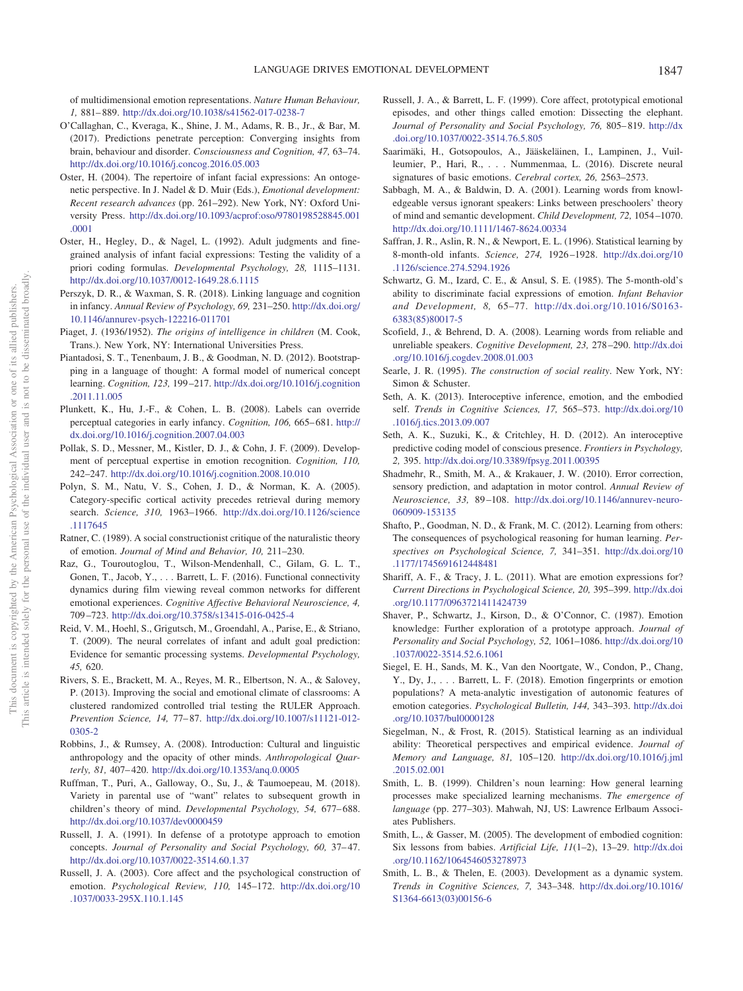of multidimensional emotion representations. *Nature Human Behaviour, 1,* 881– 889. <http://dx.doi.org/10.1038/s41562-017-0238-7>

- <span id="page-17-21"></span>O'Callaghan, C., Kveraga, K., Shine, J. M., Adams, R. B., Jr., & Bar, M. (2017). Predictions penetrate perception: Converging insights from brain, behaviour and disorder. *Consciousness and Cognition, 47,* 63–74. <http://dx.doi.org/10.1016/j.concog.2016.05.003>
- <span id="page-17-9"></span>Oster, H. (2004). The repertoire of infant facial expressions: An ontogenetic perspective. In J. Nadel & D. Muir (Eds.), *Emotional development: Recent research advances* (pp. 261–292). New York, NY: Oxford University Press. [http://dx.doi.org/10.1093/acprof:oso/9780198528845.001](http://dx.doi.org/10.1093/acprof:oso/9780198528845.001.0001) [.0001](http://dx.doi.org/10.1093/acprof:oso/9780198528845.001.0001)
- <span id="page-17-0"></span>Oster, H., Hegley, D., & Nagel, L. (1992). Adult judgments and finegrained analysis of infant facial expressions: Testing the validity of a priori coding formulas. *Developmental Psychology, 28,* 1115–1131. <http://dx.doi.org/10.1037/0012-1649.28.6.1115>
- <span id="page-17-14"></span>Perszyk, D. R., & Waxman, S. R. (2018). Linking language and cognition in infancy. *Annual Review of Psychology, 69,* 231–250. [http://dx.doi.org/](http://dx.doi.org/10.1146/annurev-psych-122216-011701) [10.1146/annurev-psych-122216-011701](http://dx.doi.org/10.1146/annurev-psych-122216-011701)
- <span id="page-17-31"></span>Piaget, J. (1936/1952). *The origins of intelligence in children* (M. Cook, Trans.). New York, NY: International Universities Press.
- <span id="page-17-30"></span>Piantadosi, S. T., Tenenbaum, J. B., & Goodman, N. D. (2012). Bootstrapping in a language of thought: A formal model of numerical concept learning. *Cognition, 123,* 199 –217. [http://dx.doi.org/10.1016/j.cognition](http://dx.doi.org/10.1016/j.cognition.2011.11.005) [.2011.11.005](http://dx.doi.org/10.1016/j.cognition.2011.11.005)
- <span id="page-17-16"></span>Plunkett, K., Hu, J.-F., & Cohen, L. B. (2008). Labels can override perceptual categories in early infancy. *Cognition, 106,* 665– 681. [http://](http://dx.doi.org/10.1016/j.cognition.2007.04.003) [dx.doi.org/10.1016/j.cognition.2007.04.003](http://dx.doi.org/10.1016/j.cognition.2007.04.003)
- <span id="page-17-13"></span>Pollak, S. D., Messner, M., Kistler, D. J., & Cohn, J. F. (2009). Development of perceptual expertise in emotion recognition. *Cognition, 110,* 242–247. <http://dx.doi.org/10.1016/j.cognition.2008.10.010>
- <span id="page-17-19"></span>Polyn, S. M., Natu, V. S., Cohen, J. D., & Norman, K. A. (2005). Category-specific cortical activity precedes retrieval during memory search. *Science, 310,* 1963–1966. [http://dx.doi.org/10.1126/science](http://dx.doi.org/10.1126/science.1117645) [.1117645](http://dx.doi.org/10.1126/science.1117645)
- <span id="page-17-2"></span>Ratner, C. (1989). A social constructionist critique of the naturalistic theory of emotion. *Journal of Mind and Behavior, 10,* 211–230.
- <span id="page-17-8"></span>Raz, G., Touroutoglou, T., Wilson-Mendenhall, C., Gilam, G. L. T., Gonen, T., Jacob, Y.,... Barrett, L. F. (2016). Functional connectivity dynamics during film viewing reveal common networks for different emotional experiences. *Cognitive Affective Behavioral Neuroscience, 4,* 709 –723. <http://dx.doi.org/10.3758/s13415-016-0425-4>
- <span id="page-17-28"></span>Reid, V. M., Hoehl, S., Grigutsch, M., Groendahl, A., Parise, E., & Striano, T. (2009). The neural correlates of infant and adult goal prediction: Evidence for semantic processing systems. *Developmental Psychology, 45,* 620.
- <span id="page-17-32"></span>Rivers, S. E., Brackett, M. A., Reyes, M. R., Elbertson, N. A., & Salovey, P. (2013). Improving the social and emotional climate of classrooms: A clustered randomized controlled trial testing the RULER Approach. *Prevention Science, 14,* 77– 87. [http://dx.doi.org/10.1007/s11121-012-](http://dx.doi.org/10.1007/s11121-012-0305-2) [0305-2](http://dx.doi.org/10.1007/s11121-012-0305-2)
- <span id="page-17-33"></span>Robbins, J., & Rumsey, A. (2008). Introduction: Cultural and linguistic anthropology and the opacity of other minds. *Anthropological Quarterly, 81,* 407– 420. <http://dx.doi.org/10.1353/anq.0.0005>
- <span id="page-17-12"></span>Ruffman, T., Puri, A., Galloway, O., Su, J., & Taumoepeau, M. (2018). Variety in parental use of "want" relates to subsequent growth in children's theory of mind. *Developmental Psychology, 54, 677-688*. <http://dx.doi.org/10.1037/dev0000459>
- <span id="page-17-4"></span>Russell, J. A. (1991). In defense of a prototype approach to emotion concepts. *Journal of Personality and Social Psychology, 60, 37-47.* <http://dx.doi.org/10.1037/0022-3514.60.1.37>
- <span id="page-17-1"></span>Russell, J. A. (2003). Core affect and the psychological construction of emotion. *Psychological Review, 110,* 145–172. [http://dx.doi.org/10](http://dx.doi.org/10.1037/0033-295X.110.1.145) [.1037/0033-295X.110.1.145](http://dx.doi.org/10.1037/0033-295X.110.1.145)
- <span id="page-17-3"></span>Russell, J. A., & Barrett, L. F. (1999). Core affect, prototypical emotional episodes, and other things called emotion: Dissecting the elephant. *Journal of Personality and Social Psychology, 76,* 805– 819. [http://dx](http://dx.doi.org/10.1037/0022-3514.76.5.805) [.doi.org/10.1037/0022-3514.76.5.805](http://dx.doi.org/10.1037/0022-3514.76.5.805)
- <span id="page-17-7"></span>Saarimäki, H., Gotsopoulos, A., Jääskeläinen, I., Lampinen, J., Vuilleumier, P., Hari, R.,... Nummenmaa, L. (2016). Discrete neural signatures of basic emotions. *Cerebral cortex, 26,* 2563–2573.
- <span id="page-17-17"></span>Sabbagh, M. A., & Baldwin, D. A. (2001). Learning words from knowledgeable versus ignorant speakers: Links between preschoolers' theory of mind and semantic development. *Child Development, 72,* 1054 –1070. <http://dx.doi.org/10.1111/1467-8624.00334>
- <span id="page-17-24"></span>Saffran, J. R., Aslin, R. N., & Newport, E. L. (1996). Statistical learning by 8-month-old infants. *Science, 274,* 1926 –1928. [http://dx.doi.org/10](http://dx.doi.org/10.1126/science.274.5294.1926) [.1126/science.274.5294.1926](http://dx.doi.org/10.1126/science.274.5294.1926)
- <span id="page-17-10"></span>Schwartz, G. M., Izard, C. E., & Ansul, S. E. (1985). The 5-month-old's ability to discriminate facial expressions of emotion. *Infant Behavior and Development, 8,* 65–77. [http://dx.doi.org/10.1016/S0163-](http://dx.doi.org/10.1016/S0163-6383%2885%2980017-5) [6383\(85\)80017-5](http://dx.doi.org/10.1016/S0163-6383%2885%2980017-5)
- <span id="page-17-18"></span>Scofield, J., & Behrend, D. A. (2008). Learning words from reliable and unreliable speakers. *Cognitive Development, 23,* 278 –290. [http://dx.doi](http://dx.doi.org/10.1016/j.cogdev.2008.01.003) [.org/10.1016/j.cogdev.2008.01.003](http://dx.doi.org/10.1016/j.cogdev.2008.01.003)
- <span id="page-17-15"></span>Searle, J. R. (1995). *The construction of social reality*. New York, NY: Simon & Schuster.
- <span id="page-17-22"></span>Seth, A. K. (2013). Interoceptive inference, emotion, and the embodied self. *Trends in Cognitive Sciences, 17,* 565–573. [http://dx.doi.org/10](http://dx.doi.org/10.1016/j.tics.2013.09.007) [.1016/j.tics.2013.09.007](http://dx.doi.org/10.1016/j.tics.2013.09.007)
- <span id="page-17-23"></span>Seth, A. K., Suzuki, K., & Critchley, H. D. (2012). An interoceptive predictive coding model of conscious presence. *Frontiers in Psychology, 2,* 395. <http://dx.doi.org/10.3389/fpsyg.2011.00395>
- <span id="page-17-20"></span>Shadmehr, R., Smith, M. A., & Krakauer, J. W. (2010). Error correction, sensory prediction, and adaptation in motor control. *Annual Review of Neuroscience, 33,* 89 –108. [http://dx.doi.org/10.1146/annurev-neuro-](http://dx.doi.org/10.1146/annurev-neuro-060909-153135)[060909-153135](http://dx.doi.org/10.1146/annurev-neuro-060909-153135)
- <span id="page-17-29"></span>Shafto, P., Goodman, N. D., & Frank, M. C. (2012). Learning from others: The consequences of psychological reasoning for human learning. *Perspectives on Psychological Science, 7,* 341–351. [http://dx.doi.org/10](http://dx.doi.org/10.1177/1745691612448481) [.1177/1745691612448481](http://dx.doi.org/10.1177/1745691612448481)
- <span id="page-17-11"></span>Shariff, A. F., & Tracy, J. L. (2011). What are emotion expressions for? *Current Directions in Psychological Science, 20,* 395–399. [http://dx.doi](http://dx.doi.org/10.1177/0963721411424739) [.org/10.1177/0963721411424739](http://dx.doi.org/10.1177/0963721411424739)
- <span id="page-17-5"></span>Shaver, P., Schwartz, J., Kirson, D., & O'Connor, C. (1987). Emotion knowledge: Further exploration of a prototype approach. *Journal of Personality and Social Psychology, 52,* 1061–1086. [http://dx.doi.org/10](http://dx.doi.org/10.1037/0022-3514.52.6.1061) [.1037/0022-3514.52.6.1061](http://dx.doi.org/10.1037/0022-3514.52.6.1061)
- <span id="page-17-6"></span>Siegel, E. H., Sands, M. K., Van den Noortgate, W., Condon, P., Chang, Y., Dy, J., . . . Barrett, L. F. (2018). Emotion fingerprints or emotion populations? A meta-analytic investigation of autonomic features of emotion categories. *Psychological Bulletin, 144,* 343–393. [http://dx.doi](http://dx.doi.org/10.1037/bul0000128) [.org/10.1037/bul0000128](http://dx.doi.org/10.1037/bul0000128)
- <span id="page-17-25"></span>Siegelman, N., & Frost, R. (2015). Statistical learning as an individual ability: Theoretical perspectives and empirical evidence. *Journal of Memory and Language, 81,* 105–120. [http://dx.doi.org/10.1016/j.jml](http://dx.doi.org/10.1016/j.jml.2015.02.001) [.2015.02.001](http://dx.doi.org/10.1016/j.jml.2015.02.001)
- <span id="page-17-34"></span>Smith, L. B. (1999). Children's noun learning: How general learning processes make specialized learning mechanisms. *The emergence of language* (pp. 277–303). Mahwah, NJ, US: Lawrence Erlbaum Associates Publishers.
- <span id="page-17-26"></span>Smith, L., & Gasser, M. (2005). The development of embodied cognition: Six lessons from babies. *Artificial Life, 11*(1–2), 13–29. [http://dx.doi](http://dx.doi.org/10.1162/1064546053278973) [.org/10.1162/1064546053278973](http://dx.doi.org/10.1162/1064546053278973)
- <span id="page-17-27"></span>Smith, L. B., & Thelen, E. (2003). Development as a dynamic system. *Trends in Cognitive Sciences, 7,* 343–348. [http://dx.doi.org/10.1016/](http://dx.doi.org/10.1016/S1364-6613%2803%2900156-6) [S1364-6613\(03\)00156-6](http://dx.doi.org/10.1016/S1364-6613%2803%2900156-6)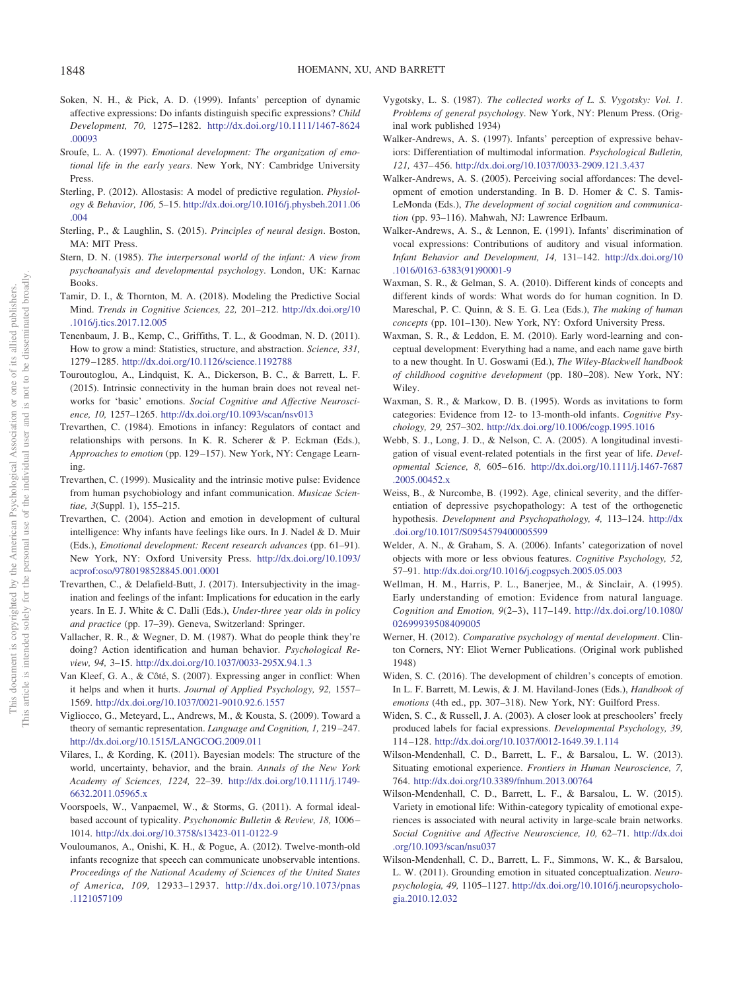- <span id="page-18-15"></span>Soken, N. H., & Pick, A. D. (1999). Infants' perception of dynamic affective expressions: Do infants distinguish specific expressions? *Child Development, 70,* 1275–1282. [http://dx.doi.org/10.1111/1467-8624](http://dx.doi.org/10.1111/1467-8624.00093) [.00093](http://dx.doi.org/10.1111/1467-8624.00093)
- <span id="page-18-24"></span>Sroufe, L. A. (1997). *Emotional development: The organization of emotional life in the early years*. New York, NY: Cambridge University Press.
- <span id="page-18-25"></span>Sterling, P. (2012). Allostasis: A model of predictive regulation. *Physiology & Behavior, 106,* 5–15. [http://dx.doi.org/10.1016/j.physbeh.2011.06](http://dx.doi.org/10.1016/j.physbeh.2011.06.004) [.004](http://dx.doi.org/10.1016/j.physbeh.2011.06.004)
- <span id="page-18-26"></span>Sterling, P., & Laughlin, S. (2015). *Principles of neural design*. Boston, MA: MIT Press.
- <span id="page-18-4"></span>Stern, D. N. (1985). *The interpersonal world of the infant: A view from psychoanalysis and developmental psychology*. London, UK: Karnac Books.
- <span id="page-18-29"></span>Tamir, D. I., & Thornton, M. A. (2018). Modeling the Predictive Social Mind. *Trends in Cognitive Sciences, 22,* 201–212. [http://dx.doi.org/10](http://dx.doi.org/10.1016/j.tics.2017.12.005) [.1016/j.tics.2017.12.005](http://dx.doi.org/10.1016/j.tics.2017.12.005)
- <span id="page-18-28"></span>Tenenbaum, J. B., Kemp, C., Griffiths, T. L., & Goodman, N. D. (2011). How to grow a mind: Statistics, structure, and abstraction. *Science, 331,* 1279 –1285. <http://dx.doi.org/10.1126/science.1192788>
- <span id="page-18-8"></span>Touroutoglou, A., Lindquist, K. A., Dickerson, B. C., & Barrett, L. F. (2015). Intrinsic connectivity in the human brain does not reveal networks for 'basic' emotions. *Social Cognitive and Affective Neuroscience, 10,* 1257–1265. <http://dx.doi.org/10.1093/scan/nsv013>
- <span id="page-18-5"></span>Trevarthen, C. (1984). Emotions in infancy: Regulators of contact and relationships with persons. In K. R. Scherer & P. Eckman (Eds.), *Approaches to emotion* (pp. 129 –157). New York, NY: Cengage Learning.
- <span id="page-18-32"></span>Trevarthen, C. (1999). Musicality and the intrinsic motive pulse: Evidence from human psychobiology and infant communication. *Musicae Scientiae, 3*(Suppl. 1), 155–215.
- <span id="page-18-30"></span>Trevarthen, C. (2004). Action and emotion in development of cultural intelligence: Why infants have feelings like ours. In J. Nadel & D. Muir (Eds.), *Emotional development: Recent research advances* (pp. 61–91). New York, NY: Oxford University Press. [http://dx.doi.org/10.1093/](http://dx.doi.org/10.1093/acprof:oso/9780198528845.001.0001) [acprof:oso/9780198528845.001.0001](http://dx.doi.org/10.1093/acprof:oso/9780198528845.001.0001)
- <span id="page-18-34"></span>Trevarthen, C., & Delafield-Butt, J. (2017). Intersubjectivity in the imagination and feelings of the infant: Implications for education in the early years. In E. J. White & C. Dalli (Eds.), *Under-three year olds in policy and practice* (pp. 17–39). Geneva, Switzerland: Springer.
- <span id="page-18-33"></span>Vallacher, R. R., & Wegner, D. M. (1987). What do people think they're doing? Action identification and human behavior. *Psychological Review, 94,* 3–15. <http://dx.doi.org/10.1037/0033-295X.94.1.3>
- <span id="page-18-11"></span>Van Kleef, G. A., & Côté, S. (2007). Expressing anger in conflict: When it helps and when it hurts. *Journal of Applied Psychology, 92,* 1557– 1569. <http://dx.doi.org/10.1037/0021-9010.92.6.1557>
- <span id="page-18-3"></span>Vigliocco, G., Meteyard, L., Andrews, M., & Kousta, S. (2009). Toward a theory of semantic representation. *Language and Cognition, 1,* 219 –247. <http://dx.doi.org/10.1515/LANGCOG.2009.011>
- <span id="page-18-27"></span>Vilares, I., & Kording, K. (2011). Bayesian models: The structure of the world, uncertainty, behavior, and the brain. *Annals of the New York Academy of Sciences, 1224,* 22–39. [http://dx.doi.org/10.1111/j.1749-](http://dx.doi.org/10.1111/j.1749-6632.2011.05965.x) [6632.2011.05965.x](http://dx.doi.org/10.1111/j.1749-6632.2011.05965.x)
- <span id="page-18-7"></span>Voorspoels, W., Vanpaemel, W., & Storms, G. (2011). A formal idealbased account of typicality. *Psychonomic Bulletin & Review, 18,* 1006 – 1014. <http://dx.doi.org/10.3758/s13423-011-0122-9>
- <span id="page-18-23"></span>Vouloumanos, A., Onishi, K. H., & Pogue, A. (2012). Twelve-month-old infants recognize that speech can communicate unobservable intentions. *Proceedings of the National Academy of Sciences of the United States of America, 109,* 12933–12937. [http://dx.doi.org/10.1073/pnas](http://dx.doi.org/10.1073/pnas.1121057109) [.1121057109](http://dx.doi.org/10.1073/pnas.1121057109)
- <span id="page-18-2"></span>Vygotsky, L. S. (1987). *The collected works of L. S. Vygotsky: Vol. 1*. *Problems of general psychology*. New York, NY: Plenum Press. (Original work published 1934)
- <span id="page-18-13"></span>Walker-Andrews, A. S. (1997). Infants' perception of expressive behaviors: Differentiation of multimodal information. *Psychological Bulletin, 121,* 437– 456. <http://dx.doi.org/10.1037/0033-2909.121.3.437>
- <span id="page-18-12"></span>Walker-Andrews, A. S. (2005). Perceiving social affordances: The development of emotion understanding. In B. D. Homer & C. S. Tamis-LeMonda (Eds.), *The development of social cognition and communication* (pp. 93–116). Mahwah, NJ: Lawrence Erlbaum.
- <span id="page-18-14"></span>Walker-Andrews, A. S., & Lennon, E. (1991). Infants' discrimination of vocal expressions: Contributions of auditory and visual information. *Infant Behavior and Development, 14,* 131–142. [http://dx.doi.org/10](http://dx.doi.org/10.1016/0163-6383%2891%2990001-9) [.1016/0163-6383\(91\)90001-9](http://dx.doi.org/10.1016/0163-6383%2891%2990001-9)
- <span id="page-18-21"></span>Waxman, S. R., & Gelman, S. A. (2010). Different kinds of concepts and different kinds of words: What words do for human cognition. In D. Mareschal, P. C. Quinn, & S. E. G. Lea (Eds.), *The making of human concepts* (pp. 101–130). New York, NY: Oxford University Press.
- <span id="page-18-20"></span>Waxman, S. R., & Leddon, E. M. (2010). Early word-learning and conceptual development: Everything had a name, and each name gave birth to a new thought. In U. Goswami (Ed.), *The Wiley-Blackwell handbook of childhood cognitive development* (pp. 180 –208). New York, NY: Wiley.
- <span id="page-18-19"></span>Waxman, S. R., & Markow, D. B. (1995). Words as invitations to form categories: Evidence from 12- to 13-month-old infants. *Cognitive Psychology, 29,* 257–302. <http://dx.doi.org/10.1006/cogp.1995.1016>
- <span id="page-18-31"></span>Webb, S. J., Long, J. D., & Nelson, C. A. (2005). A longitudinal investigation of visual event-related potentials in the first year of life. *Developmental Science, 8,* 605– 616. [http://dx.doi.org/10.1111/j.1467-7687](http://dx.doi.org/10.1111/j.1467-7687.2005.00452.x) [.2005.00452.x](http://dx.doi.org/10.1111/j.1467-7687.2005.00452.x)
- <span id="page-18-0"></span>Weiss, B., & Nurcombe, B. (1992). Age, clinical severity, and the differentiation of depressive psychopathology: A test of the orthogenetic hypothesis. *Development and Psychopathology, 4,* 113–124. [http://dx](http://dx.doi.org/10.1017/S0954579400005599) [.doi.org/10.1017/S0954579400005599](http://dx.doi.org/10.1017/S0954579400005599)
- <span id="page-18-22"></span>Welder, A. N., & Graham, S. A. (2006). Infants' categorization of novel objects with more or less obvious features. *Cognitive Psychology, 52,* 57–91. <http://dx.doi.org/10.1016/j.cogpsych.2005.05.003>
- <span id="page-18-17"></span>Wellman, H. M., Harris, P. L., Banerjee, M., & Sinclair, A. (1995). Early understanding of emotion: Evidence from natural language. *Cognition and Emotion, 9*(2–3), 117–149. [http://dx.doi.org/10.1080/](http://dx.doi.org/10.1080/02699939508409005) [02699939508409005](http://dx.doi.org/10.1080/02699939508409005)
- <span id="page-18-1"></span>Werner, H. (2012). *Comparative psychology of mental development*. Clinton Corners, NY: Eliot Werner Publications. (Original work published 1948)
- <span id="page-18-16"></span>Widen, S. C. (2016). The development of children's concepts of emotion. In L. F. Barrett, M. Lewis, & J. M. Haviland-Jones (Eds.), *Handbook of emotions* (4th ed., pp. 307–318). New York, NY: Guilford Press.
- <span id="page-18-18"></span>Widen, S. C., & Russell, J. A. (2003). A closer look at preschoolers' freely produced labels for facial expressions. *Developmental Psychology, 39,* 114 –128. <http://dx.doi.org/10.1037/0012-1649.39.1.114>
- <span id="page-18-9"></span>Wilson-Mendenhall, C. D., Barrett, L. F., & Barsalou, L. W. (2013). Situating emotional experience. *Frontiers in Human Neuroscience, 7,* 764. <http://dx.doi.org/10.3389/fnhum.2013.00764>
- <span id="page-18-10"></span>Wilson-Mendenhall, C. D., Barrett, L. F., & Barsalou, L. W. (2015). Variety in emotional life: Within-category typicality of emotional experiences is associated with neural activity in large-scale brain networks. *Social Cognitive and Affective Neuroscience, 10,* 62–71. [http://dx.doi](http://dx.doi.org/10.1093/scan/nsu037) [.org/10.1093/scan/nsu037](http://dx.doi.org/10.1093/scan/nsu037)
- <span id="page-18-6"></span>Wilson-Mendenhall, C. D., Barrett, L. F., Simmons, W. K., & Barsalou, L. W. (2011). Grounding emotion in situated conceptualization. *Neuropsychologia, 49,* 1105–1127. [http://dx.doi.org/10.1016/j.neuropsycholo](http://dx.doi.org/10.1016/j.neuropsychologia.2010.12.032)[gia.2010.12.032](http://dx.doi.org/10.1016/j.neuropsychologia.2010.12.032)